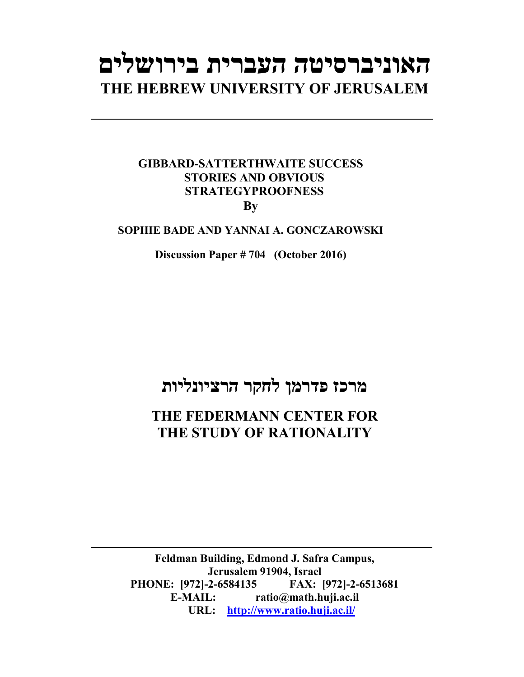# **האוניברסיטה העברית בירושלים THE HEBREW UNIVERSITY OF JERUSALEM**

### **GIBBARD-SATTERTHWAITE SUCCESS STORIES AND OBVIOUS STRATEGYPROOFNESS By**

#### **SOPHIE BADE AND YANNAI A. GONCZAROWSKI**

**Discussion Paper # 704 (October 2016)**

## **מרכז פדרמן לחקר הרציונליות**

## **THE FEDERMANN CENTER FOR THE STUDY OF RATIONALITY**

**Feldman Building, Edmond J. Safra Campus, Jerusalem 91904, Israel PHONE: [972]-2-6584135 FAX: [972]-2-6513681 E-MAIL: ratio@math.huji.ac.il URL: http://www.ratio.huji.ac.il/**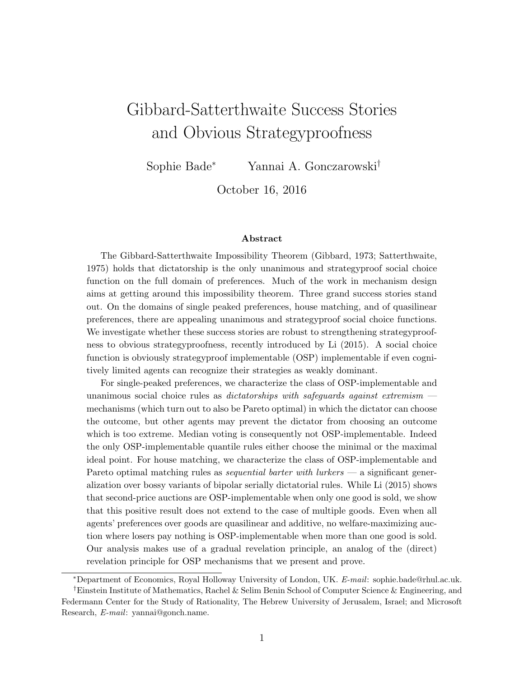## Gibbard-Satterthwaite Success Stories and Obvious Strategyproofness

Sophie Bade<sup>∗</sup> Yannai A. Gonczarowski†

October 16, 2016

#### Abstract

The Gibbard-Satterthwaite Impossibility Theorem (Gibbard, 1973; Satterthwaite, 1975) holds that dictatorship is the only unanimous and strategyproof social choice function on the full domain of preferences. Much of the work in mechanism design aims at getting around this impossibility theorem. Three grand success stories stand out. On the domains of single peaked preferences, house matching, and of quasilinear preferences, there are appealing unanimous and strategyproof social choice functions. We investigate whether these success stories are robust to strengthening strategyproofness to obvious strategyproofness, recently introduced by Li (2015). A social choice function is obviously strategyproof implementable (OSP) implementable if even cognitively limited agents can recognize their strategies as weakly dominant.

For single-peaked preferences, we characterize the class of OSP-implementable and unanimous social choice rules as *dictatorships with safeguards against extremism*  $$ mechanisms (which turn out to also be Pareto optimal) in which the dictator can choose the outcome, but other agents may prevent the dictator from choosing an outcome which is too extreme. Median voting is consequently not OSP-implementable. Indeed the only OSP-implementable quantile rules either choose the minimal or the maximal ideal point. For house matching, we characterize the class of OSP-implementable and Pareto optimal matching rules as *sequential barter with lurkers* — a significant generalization over bossy variants of bipolar serially dictatorial rules. While Li (2015) shows that second-price auctions are OSP-implementable when only one good is sold, we show that this positive result does not extend to the case of multiple goods. Even when all agents' preferences over goods are quasilinear and additive, no welfare-maximizing auction where losers pay nothing is OSP-implementable when more than one good is sold. Our analysis makes use of a gradual revelation principle, an analog of the (direct) revelation principle for OSP mechanisms that we present and prove.

<sup>∗</sup>Department of Economics, Royal Holloway University of London, UK. E-mail: sophie.bade@rhul.ac.uk.

<sup>†</sup>Einstein Institute of Mathematics, Rachel & Selim Benin School of Computer Science & Engineering, and Federmann Center for the Study of Rationality, The Hebrew University of Jerusalem, Israel; and Microsoft Research, E-mail: yannai@gonch.name.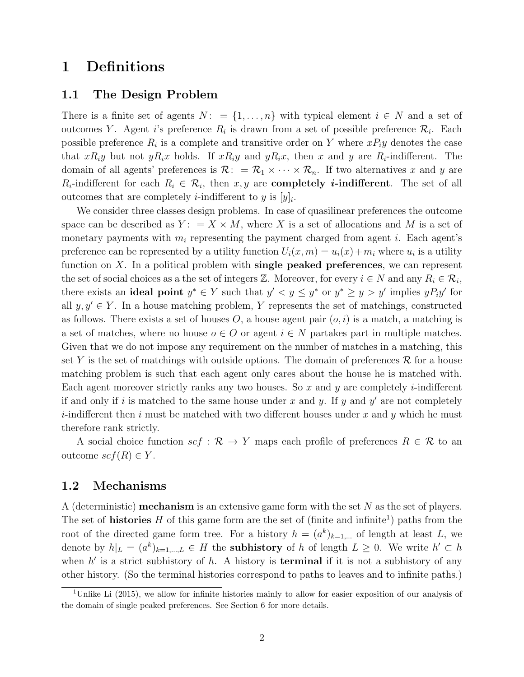## 1 Definitions

#### 1.1 The Design Problem

There is a finite set of agents  $N: = \{1, \ldots, n\}$  with typical element  $i \in N$  and a set of outcomes Y. Agent *i*'s preference  $R_i$  is drawn from a set of possible preference  $\mathcal{R}_i$ . Each possible preference  $R_i$  is a complete and transitive order on Y where  $xP_iy$  denotes the case that  $xR_iy$  but not  $yR_ix$  holds. If  $xR_iy$  and  $yR_ix$ , then x and y are  $R_i$ -indifferent. The domain of all agents' preferences is  $\mathcal{R}: = \mathcal{R}_1 \times \cdots \times \mathcal{R}_n$ . If two alternatives x and y are  $R_i$ -indifferent for each  $R_i \in \mathcal{R}_i$ , then  $x, y$  are **completely** *i***-indifferent**. The set of all outcomes that are completely *i*-indifferent to y is  $[y]_i$ .

We consider three classes design problems. In case of quasilinear preferences the outcome space can be described as  $Y: = X \times M$ , where X is a set of allocations and M is a set of monetary payments with  $m_i$  representing the payment charged from agent i. Each agent's preference can be represented by a utility function  $U_i(x, m) = u_i(x) + m_i$  where  $u_i$  is a utility function on  $X$ . In a political problem with single peaked preferences, we can represent the set of social choices as a the set of integers  $\mathbb{Z}$ . Moreover, for every  $i \in N$  and any  $R_i \in \mathcal{R}_i$ , there exists an **ideal point**  $y^* \in Y$  such that  $y' < y \le y^*$  or  $y^* \ge y > y'$  implies  $yP_iy'$  for all  $y, y' \in Y$ . In a house matching problem, Y represents the set of matchings, constructed as follows. There exists a set of houses  $O$ , a house agent pair  $(o, i)$  is a match, a matching is a set of matches, where no house  $o \in O$  or agent  $i \in N$  partakes part in multiple matches. Given that we do not impose any requirement on the number of matches in a matching, this set Y is the set of matchings with outside options. The domain of preferences  $\mathcal R$  for a house matching problem is such that each agent only cares about the house he is matched with. Each agent moreover strictly ranks any two houses. So x and y are completely *i*-indifferent if and only if i is matched to the same house under x and y. If y and y' are not completely *i*-indifferent then i must be matched with two different houses under x and y which he must therefore rank strictly.

A social choice function  $scf : \mathcal{R} \to Y$  maps each profile of preferences  $R \in \mathcal{R}$  to an outcome  $scf(R) \in Y$ .

#### 1.2 Mechanisms

A (deterministic) **mechanism** is an extensive game form with the set  $N$  as the set of players. The set of **histories**  $H$  of this game form are the set of (finite and infinite<sup>1</sup>) paths from the root of the directed game form tree. For a history  $h = (a^k)_{k=1,\dots}$  of length at least L, we denote by  $h|_L = (a^k)_{k=1,\dots,L} \in H$  the **subhistory** of h of length  $L \geq 0$ . We write  $h' \subset h$ when  $h'$  is a strict subhistory of h. A history is **terminal** if it is not a subhistory of any other history. (So the terminal histories correspond to paths to leaves and to infinite paths.)

<sup>1</sup>Unlike Li (2015), we allow for infinite histories mainly to allow for easier exposition of our analysis of the domain of single peaked preferences. See Section 6 for more details.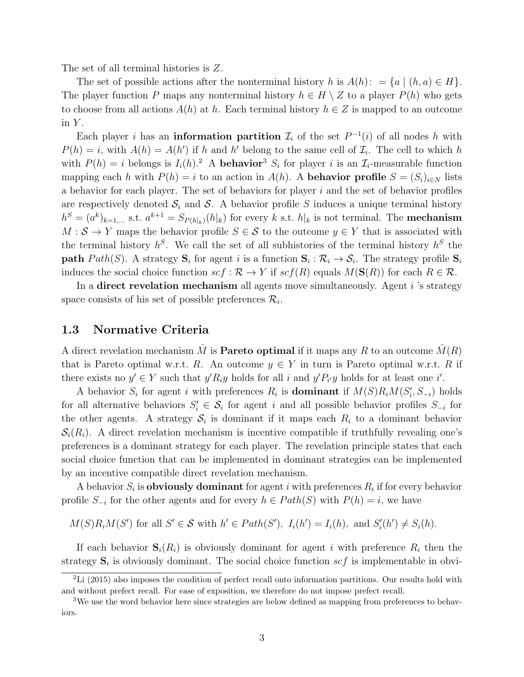The set of all terminal histories is Z.

The set of possible actions after the nonterminal history h is  $A(h): = \{a \mid (h, a) \in H\}.$ The player function P maps any nonterminal history  $h \in H \setminus Z$  to a player  $P(h)$  who gets to choose from all actions  $A(h)$  at h. Each terminal history  $h \in \mathbb{Z}$  is mapped to an outcome in  $Y$ .

Each player *i* has an **information partition**  $\mathcal{I}_i$  of the set  $P^{-1}(i)$  of all nodes h with  $P(h) = i$ , with  $A(h) = A(h')$  if h and h' belong to the same cell of  $\mathcal{I}_i$ . The cell to which h with  $P(h) = i$  belongs is  $I_i(h)$ .<sup>2</sup> A **behavior**<sup>3</sup>  $S_i$  for player i is an  $\mathcal{I}_i$ -measurable function mapping each h with  $P(h) = i$  to an action in  $A(h)$ . A **behavior profile**  $S = (S_i)_{i \in N}$  lists a behavior for each player. The set of behaviors for player  $i$  and the set of behavior profiles are respectively denoted  $S_i$  and S. A behavior profile S induces a unique terminal history  $h^S = (a^k)_{k=1,\dots}$  s.t.  $a^{k+1} = S_{P(h|_k)}(h|_k)$  for every k s.t.  $h|_k$  is not terminal. The **mechanism**  $M : \mathcal{S} \to Y$  maps the behavior profile  $S \in \mathcal{S}$  to the outcome  $y \in Y$  that is associated with the terminal history  $h^S$ . We call the set of all subhistories of the terminal history  $h^S$  the **path**  $Path(S)$ . A strategy  $S_i$  for agent i is a function  $S_i : \mathcal{R}_i \to \mathcal{S}_i$ . The strategy profile  $S_i$ induces the social choice function  $scf : \mathcal{R} \to Y$  if  $scf(R)$  equals  $M(\mathbf{S}(R))$  for each  $R \in \mathcal{R}$ .

In a direct revelation mechanism all agents move simultaneously. Agent  $i$  's strategy space consists of his set of possible preferences  $\mathcal{R}_i$ .

#### 1.3 Normative Criteria

A direct revelation mechanism  $\hat{M}$  is **Pareto optimal** if it maps any R to an outcome  $\hat{M}(R)$ that is Pareto optimal w.r.t. R. An outcome  $y \in Y$  in turn is Pareto optimal w.r.t. R if there exists no  $y' \in Y$  such that  $y'R_iy$  holds for all i and  $y'P_{i'}y$  holds for at least one i'.

A behavior  $S_i$  for agent i with preferences  $R_i$  is **dominant** if  $M(S)R_iM(S_i', S_{-i})$  holds for all alternative behaviors  $S_i' \in S_i$  for agent i and all possible behavior profiles  $S_{-i}$  for the other agents. A strategy  $S_i$  is dominant if it maps each  $R_i$  to a dominant behavior  $S_i(R_i)$ . A direct revelation mechanism is incentive compatible if truthfully revealing one's preferences is a dominant strategy for each player. The revelation principle states that each social choice function that can be implemented in dominant strategies can be implemented by an incentive compatible direct revelation mechanism.

A behavior  $S_i$  is **obviously dominant** for agent i with preferences  $R_i$  if for every behavior profile  $S_{-i}$  for the other agents and for every  $h \in Path(S)$  with  $P(h) = i$ , we have

 $M(S)R_iM(S')$  for all  $S' \in \mathcal{S}$  with  $h' \in Path(S')$ ,  $I_i(h') = I_i(h)$ , and  $S'_i(h') \neq S_i(h)$ .

If each behavior  $S_i(R_i)$  is obviously dominant for agent i with preference  $R_i$  then the strategy  $S_i$  is obviously dominant. The social choice function  $scf$  is implementable in obvi-

 ${}^{2}$ Li (2015) also imposes the condition of perfect recall onto information partitions. Our results hold with and without prefect recall. For ease of exposition, we therefore do not impose prefect recall.

<sup>&</sup>lt;sup>3</sup>We use the word behavior here since strategies are below defined as mapping from preferences to behaviors.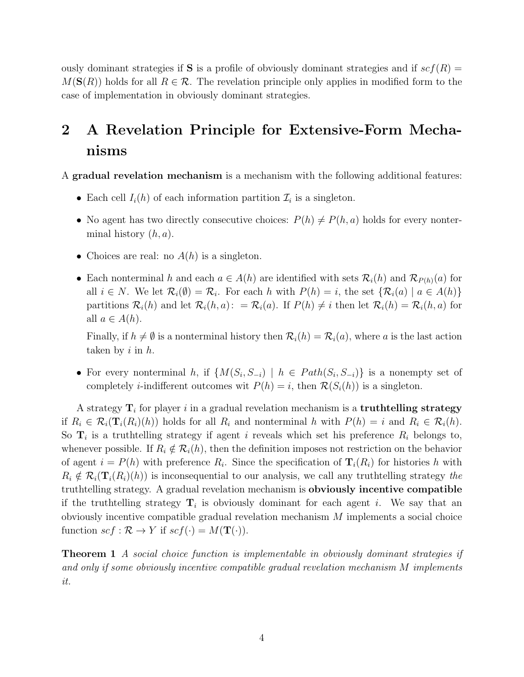ously dominant strategies if **S** is a profile of obviously dominant strategies and if  $scf(R)$  =  $M(S(R))$  holds for all  $R \in \mathcal{R}$ . The revelation principle only applies in modified form to the case of implementation in obviously dominant strategies.

## 2 A Revelation Principle for Extensive-Form Mechanisms

A gradual revelation mechanism is a mechanism with the following additional features:

- Each cell  $I_i(h)$  of each information partition  $\mathcal{I}_i$  is a singleton.
- No agent has two directly consecutive choices:  $P(h) \neq P(h, a)$  holds for every nonterminal history  $(h, a)$ .
- Choices are real: no  $A(h)$  is a singleton.
- Each nonterminal h and each  $a \in A(h)$  are identified with sets  $\mathcal{R}_i(h)$  and  $\mathcal{R}_{P(h)}(a)$  for all  $i \in N$ . We let  $\mathcal{R}_i(\emptyset) = \mathcal{R}_i$ . For each h with  $P(h) = i$ , the set  $\{\mathcal{R}_i(a) \mid a \in A(h)\}\$ partitions  $\mathcal{R}_i(h)$  and let  $\mathcal{R}_i(h,a)$ :  $= \mathcal{R}_i(a)$ . If  $P(h) \neq i$  then let  $\mathcal{R}_i(h) = \mathcal{R}_i(h,a)$  for all  $a \in A(h)$ .

Finally, if  $h \neq \emptyset$  is a nonterminal history then  $\mathcal{R}_i(h) = \mathcal{R}_i(a)$ , where a is the last action taken by  $i$  in  $h$ .

• For every nonterminal h, if  $\{M(S_i, S_{-i}) \mid h \in Path(S_i, S_{-i})\}$  is a nonempty set of completely *i*-indifferent outcomes wit  $P(h) = i$ , then  $\mathcal{R}(S_i(h))$  is a singleton.

A strategy  $\mathbf{T}_i$  for player i in a gradual revelation mechanism is a truthtelling strategy if  $R_i \in \mathcal{R}_i(\mathbf{T}_i(R_i)(h))$  holds for all  $R_i$  and nonterminal h with  $P(h) = i$  and  $R_i \in \mathcal{R}_i(h)$ . So  $\mathbf{T}_i$  is a truthtelling strategy if agent i reveals which set his preference  $R_i$  belongs to, whenever possible. If  $R_i \notin \mathcal{R}_i(h)$ , then the definition imposes not restriction on the behavior of agent  $i = P(h)$  with preference  $R_i$ . Since the specification of  $\mathbf{T}_i(R_i)$  for histories h with  $R_i \notin \mathcal{R}_i(\mathbf{T}_i(R_i)(h))$  is inconsequential to our analysis, we call any truthtelling strategy the truthtelling strategy. A gradual revelation mechanism is obviously incentive compatible if the truthtelling strategy  $\mathbf{T}_i$  is obviously dominant for each agent i. We say that an obviously incentive compatible gradual revelation mechanism M implements a social choice function  $scf : \mathcal{R} \to Y$  if  $scf(\cdot) = M(\mathbf{T}(\cdot)).$ 

**Theorem 1** A social choice function is implementable in obviously dominant strategies if and only if some obviously incentive compatible gradual revelation mechanism M implements it.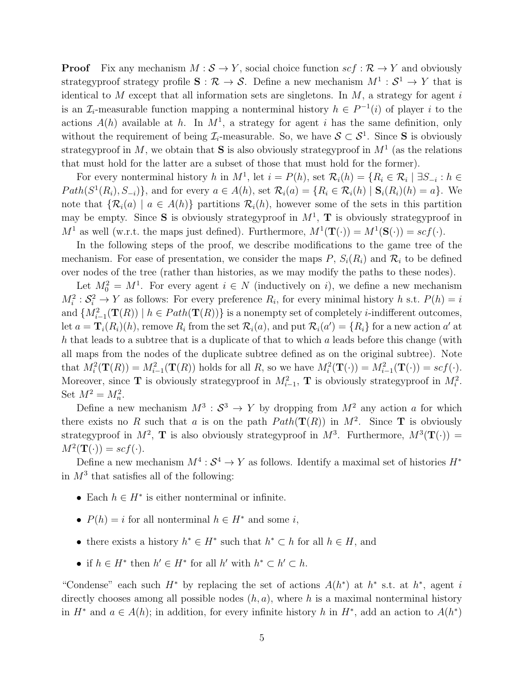**Proof** Fix any mechanism  $M : \mathcal{S} \to Y$ , social choice function  $\text{sc} f : \mathcal{R} \to Y$  and obviously strategyproof strategy profile  $S: \mathcal{R} \to \mathcal{S}$ . Define a new mechanism  $M^1: \mathcal{S}^1 \to Y$  that is identical to  $M$  except that all information sets are singletons. In  $M$ , a strategy for agent  $i$ is an  $\mathcal{I}_i$ -measurable function mapping a nonterminal history  $h \in P^{-1}(i)$  of player i to the actions  $A(h)$  available at h. In  $M<sup>1</sup>$ , a strategy for agent i has the same definition, only without the requirement of being  $\mathcal{I}_i$ -measurable. So, we have  $\mathcal{S} \subset \mathcal{S}^1$ . Since S is obviously strategyproof in M, we obtain that **S** is also obviously strategyproof in  $M<sup>1</sup>$  (as the relations that must hold for the latter are a subset of those that must hold for the former).

For every nonterminal history h in  $M^1$ , let  $i = P(h)$ , set  $\mathcal{R}_i(h) = \{R_i \in \mathcal{R}_i \mid \exists S_{-i} : h \in$  $Path(S^1(R_i), S_{-i})\},$  and for every  $a \in A(h)$ , set  $\mathcal{R}_i(a) = \{R_i \in \mathcal{R}_i(h) \mid \mathbf{S}_i(R_i)(h) = a\}.$  We note that  $\{\mathcal{R}_i(a) \mid a \in A(h)\}\$  partitions  $\mathcal{R}_i(h)$ , however some of the sets in this partition may be empty. Since **S** is obviously strategyproof in  $M^1$ , **T** is obviously strategyproof in  $M^1$  as well (w.r.t. the maps just defined). Furthermore,  $M^1(\mathbf{T}(\cdot)) = M^1(\mathbf{S}(\cdot)) = \mathop{scf}(\cdot)$ .

In the following steps of the proof, we describe modifications to the game tree of the mechanism. For ease of presentation, we consider the maps P,  $S_i(R_i)$  and  $\mathcal{R}_i$  to be defined over nodes of the tree (rather than histories, as we may modify the paths to these nodes).

Let  $M_0^2 = M^1$ . For every agent  $i \in N$  (inductively on i), we define a new mechanism  $M_i^2$ :  $S_i^2 \to Y$  as follows: For every preference  $R_i$ , for every minimal history h s.t.  $P(h) = i$ and  $\{M_{i-1}^2(\mathbf{T}(R)) \mid h \in Path(\mathbf{T}(R))\}$  is a nonempty set of completely *i*-indifferent outcomes, let  $a = \mathbf{T}_i(R_i)(h)$ , remove  $R_i$  from the set  $\mathcal{R}_i(a)$ , and put  $\mathcal{R}_i(a') = \{R_i\}$  for a new action  $a'$  at h that leads to a subtree that is a duplicate of that to which a leads before this change (with all maps from the nodes of the duplicate subtree defined as on the original subtree). Note that  $M_i^2(\mathbf{T}(R)) = M_{i-1}^2(\mathbf{T}(R))$  holds for all R, so we have  $M_i^2(\mathbf{T}(\cdot)) = M_{i-1}^2(\mathbf{T}(\cdot)) = \text{scf}(\cdot)$ . Moreover, since **T** is obviously strategyproof in  $M_{i-1}^2$ , **T** is obviously strategyproof in  $M_i^2$ . Set  $M^2 = M_n^2$ .

Define a new mechanism  $M^3$ :  $S^3 \to Y$  by dropping from  $M^2$  any action a for which there exists no R such that a is on the path  $Path(\mathbf{T}(R))$  in  $M^2$ . Since **T** is obviously strategyproof in  $M^2$ , **T** is also obviously strategyproof in  $M^3$ . Furthermore,  $M^3(\mathbf{T}(\cdot))$  =  $M^2(\mathbf{T}(\cdot)) = \mathit{scf}(\cdot).$ 

Define a new mechanism  $M^4$ :  $S^4 \to Y$  as follows. Identify a maximal set of histories  $H^*$ in  $M^3$  that satisfies all of the following:

- Each  $h \in H^*$  is either nonterminal or infinite.
- $P(h) = i$  for all nonterminal  $h \in H^*$  and some i,
- there exists a history  $h^* \in H^*$  such that  $h^* \subset h$  for all  $h \in H$ , and
- if  $h \in H^*$  then  $h' \in H^*$  for all  $h'$  with  $h^* \subset h' \subset h$ .

"Condense" each such  $H^*$  by replacing the set of actions  $A(h^*)$  at  $h^*$  s.t. at  $h^*$ , agent i directly chooses among all possible nodes  $(h, a)$ , where h is a maximal nonterminal history in  $H^*$  and  $a \in A(h)$ ; in addition, for every infinite history h in  $H^*$ , add an action to  $A(h^*)$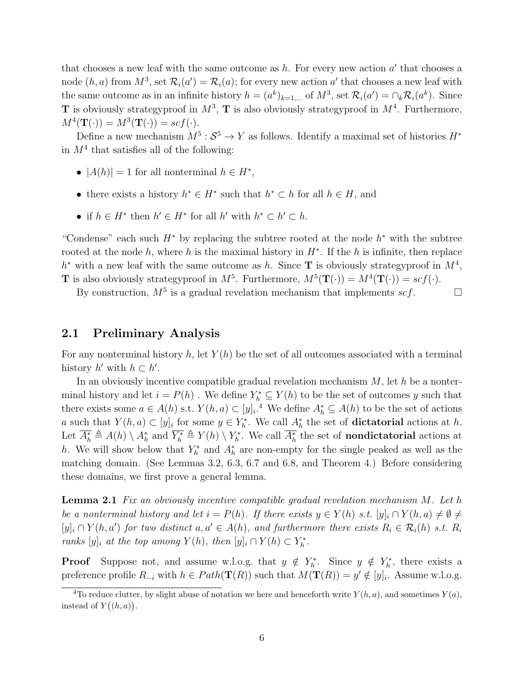that chooses a new leaf with the same outcome as  $h$ . For every new action  $a'$  that chooses a node  $(h, a)$  from  $M^3$ , set  $\mathcal{R}_i(a') = \mathcal{R}_i(a)$ ; for every new action a' that chooses a new leaf with the same outcome as in an infinite history  $h = (a^k)_{k=1,\dots}$  of  $M^3$ , set  $\mathcal{R}_i(a') = \bigcap_k \mathcal{R}_i(a^k)$ . Since **T** is obviously strategyproof in  $M^3$ , **T** is also obviously strategyproof in  $M^4$ . Furthermore,  $M^4(\mathbf{T}(\cdot)) = M^3(\mathbf{T}(\cdot)) = \mathit{scf}(\cdot).$ 

Define a new mechanism  $M^5$ :  $S^5 \to Y$  as follows. Identify a maximal set of histories  $H^*$ in  $M<sup>4</sup>$  that satisfies all of the following:

- $|A(h)| = 1$  for all nonterminal  $h \in H^*$ ,
- there exists a history  $h^* \in H^*$  such that  $h^* \subset h$  for all  $h \in H$ , and
- if  $h \in H^*$  then  $h' \in H^*$  for all  $h'$  with  $h^* \subset h' \subset h$ .

"Condense" each such  $H^*$  by replacing the subtree rooted at the node  $h^*$  with the subtree rooted at the node h, where h is the maximal history in  $H^*$ . If the h is infinite, then replace  $h^*$  with a new leaf with the same outcome as h. Since **T** is obviously strategy proof in  $M^4$ , **T** is also obviously strategyproof in  $M^5$ . Furthermore,  $M^5(\mathbf{T}(\cdot)) = M^4(\mathbf{T}(\cdot)) = \mathit{scf}(\cdot)$ .

By construction,  $M^5$  is a gradual revelation mechanism that implements  $scf$ .

### 2.1 Preliminary Analysis

For any nonterminal history h, let  $Y(h)$  be the set of all outcomes associated with a terminal history  $h'$  with  $h \subset h'$ .

In an obviously incentive compatible gradual revelation mechanism  $M$ , let h be a nonterminal history and let  $i = P(h)$ . We define  $Y_h^* \subseteq Y(h)$  to be the set of outcomes y such that there exists some  $a \in A(h)$  s.t.  $Y(h, a) \subset [y]_i$ .<sup>4</sup> We define  $A_h^* \subseteq A(h)$  to be the set of actions a such that  $Y(h, a) \subset [y]_i$  for some  $y \in Y_h^*$ . We call  $A_h^*$  the set of **dictatorial** actions at h. Let  $A_h^* \triangleq A(h) \setminus A_h^*$  and  $Y_h^* \triangleq Y(h) \setminus Y_h^*$ . We call  $A_h^*$  the set of **nondictatorial** actions at h. We will show below that  $Y_h^*$  and  $A_h^*$  are non-empty for the single peaked as well as the matching domain. (See Lemmas 3.2, 6.3, 6.7 and 6.8, and Theorem 4.) Before considering these domains, we first prove a general lemma.

**Lemma 2.1** Fix an obviously incentive compatible gradual revelation mechanism  $M$ . Let h be a nonterminal history and let  $i = P(h)$ . If there exists  $y \in Y(h)$  s.t.  $[y]_i \cap Y(h, a) \neq \emptyset \neq \emptyset$  $[y]_i \cap Y(h, a')$  for two distinct  $a, a' \in A(h)$ , and furthermore there exists  $R_i \in \mathcal{R}_i(h)$  s.t.  $R_i$ ranks  $[y]_i$  at the top among  $Y(h)$ , then  $[y]_i \cap Y(h) \subset Y_h^*$ .

**Proof** Suppose not, and assume w.l.o.g. that  $y \notin Y_h^*$ . Since  $y \notin Y_h^*$ , there exists a preference profile  $R_{-i}$  with  $h \in Path(\mathbf{T}(R))$  such that  $M(\mathbf{T}(R)) = y' \notin [y]_i$ . Assume w.l.o.g.

<sup>&</sup>lt;sup>4</sup>To reduce clutter, by slight abuse of notation we here and henceforth write  $Y(h, a)$ , and sometimes  $Y(a)$ , instead of  $Y((h, a))$ .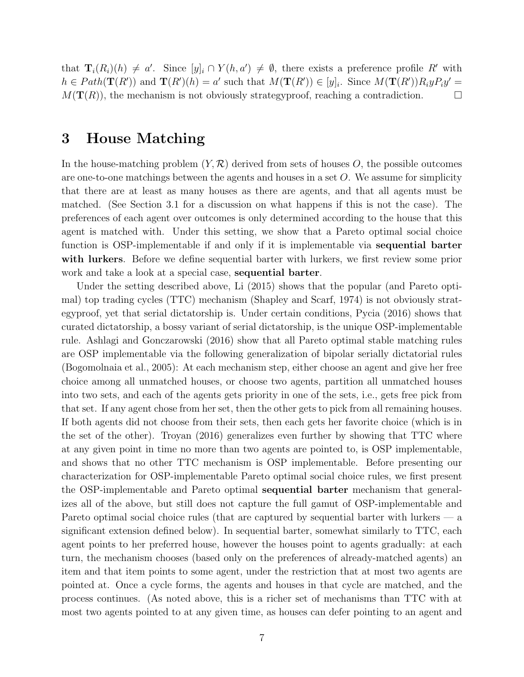that  $\mathbf{T}_i(R_i)(h) \neq a'$ . Since  $[y]_i \cap Y(h, a') \neq \emptyset$ , there exists a preference profile R' with  $h \in Path(\mathbf{T}(R'))$  and  $\mathbf{T}(R')(h) = a'$  such that  $M(\mathbf{T}(R')) \in [y]_i$ . Since  $M(\mathbf{T}(R'))R_iyP_iy' =$  $M(\mathbf{T}(R))$ , the mechanism is not obviously strategyproof, reaching a contradiction.

## 3 House Matching

In the house-matching problem  $(Y, \mathcal{R})$  derived from sets of houses O, the possible outcomes are one-to-one matchings between the agents and houses in a set  $O$ . We assume for simplicity that there are at least as many houses as there are agents, and that all agents must be matched. (See Section 3.1 for a discussion on what happens if this is not the case). The preferences of each agent over outcomes is only determined according to the house that this agent is matched with. Under this setting, we show that a Pareto optimal social choice function is OSP-implementable if and only if it is implementable via sequential barter with lurkers. Before we define sequential barter with lurkers, we first review some prior work and take a look at a special case, sequential barter.

Under the setting described above, Li (2015) shows that the popular (and Pareto optimal) top trading cycles (TTC) mechanism (Shapley and Scarf, 1974) is not obviously strategyproof, yet that serial dictatorship is. Under certain conditions, Pycia (2016) shows that curated dictatorship, a bossy variant of serial dictatorship, is the unique OSP-implementable rule. Ashlagi and Gonczarowski (2016) show that all Pareto optimal stable matching rules are OSP implementable via the following generalization of bipolar serially dictatorial rules (Bogomolnaia et al., 2005): At each mechanism step, either choose an agent and give her free choice among all unmatched houses, or choose two agents, partition all unmatched houses into two sets, and each of the agents gets priority in one of the sets, i.e., gets free pick from that set. If any agent chose from her set, then the other gets to pick from all remaining houses. If both agents did not choose from their sets, then each gets her favorite choice (which is in the set of the other). Troyan (2016) generalizes even further by showing that TTC where at any given point in time no more than two agents are pointed to, is OSP implementable, and shows that no other TTC mechanism is OSP implementable. Before presenting our characterization for OSP-implementable Pareto optimal social choice rules, we first present the OSP-implementable and Pareto optimal sequential barter mechanism that generalizes all of the above, but still does not capture the full gamut of OSP-implementable and Pareto optimal social choice rules (that are captured by sequential barter with lurkers — a significant extension defined below). In sequential barter, somewhat similarly to TTC, each agent points to her preferred house, however the houses point to agents gradually: at each turn, the mechanism chooses (based only on the preferences of already-matched agents) an item and that item points to some agent, under the restriction that at most two agents are pointed at. Once a cycle forms, the agents and houses in that cycle are matched, and the process continues. (As noted above, this is a richer set of mechanisms than TTC with at most two agents pointed to at any given time, as houses can defer pointing to an agent and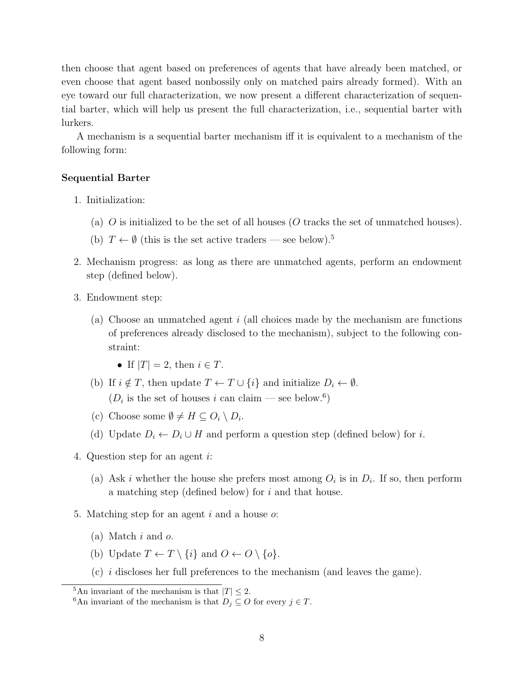then choose that agent based on preferences of agents that have already been matched, or even choose that agent based nonbossily only on matched pairs already formed). With an eye toward our full characterization, we now present a different characterization of sequential barter, which will help us present the full characterization, i.e., sequential barter with lurkers.

A mechanism is a sequential barter mechanism iff it is equivalent to a mechanism of the following form:

#### Sequential Barter

- 1. Initialization:
	- (a)  $\overline{O}$  is initialized to be the set of all houses ( $\overline{O}$  tracks the set of unmatched houses).
	- (b)  $T \leftarrow \emptyset$  (this is the set active traders see below).<sup>5</sup>
- 2. Mechanism progress: as long as there are unmatched agents, perform an endowment step (defined below).
- 3. Endowment step:
	- (a) Choose an unmatched agent i (all choices made by the mechanism are functions of preferences already disclosed to the mechanism), subject to the following constraint:
		- If  $|T| = 2$ , then  $i \in T$ .
	- (b) If  $i \notin T$ , then update  $T \leftarrow T \cup \{i\}$  and initialize  $D_i \leftarrow \emptyset$ .  $(D_i$  is the set of houses i can claim – see below.<sup>6</sup>)
	- (c) Choose some  $\emptyset \neq H \subseteq O_i \setminus D_i$ .
	- (d) Update  $D_i \leftarrow D_i \cup H$  and perform a question step (defined below) for i.
- 4. Question step for an agent i:
	- (a) Ask *i* whether the house she prefers most among  $O_i$  is in  $D_i$ . If so, then perform a matching step (defined below) for i and that house.
- 5. Matching step for an agent i and a house  $\alpha$ :
	- (a) Match i and o.
	- (b) Update  $T \leftarrow T \setminus \{i\}$  and  $O \leftarrow O \setminus \{o\}.$
	- (c) i discloses her full preferences to the mechanism (and leaves the game).

<sup>&</sup>lt;sup>5</sup>An invariant of the mechanism is that  $|T| \leq 2$ .

<sup>&</sup>lt;sup>6</sup>An invariant of the mechanism is that  $D_j \subseteq O$  for every  $j \in T$ .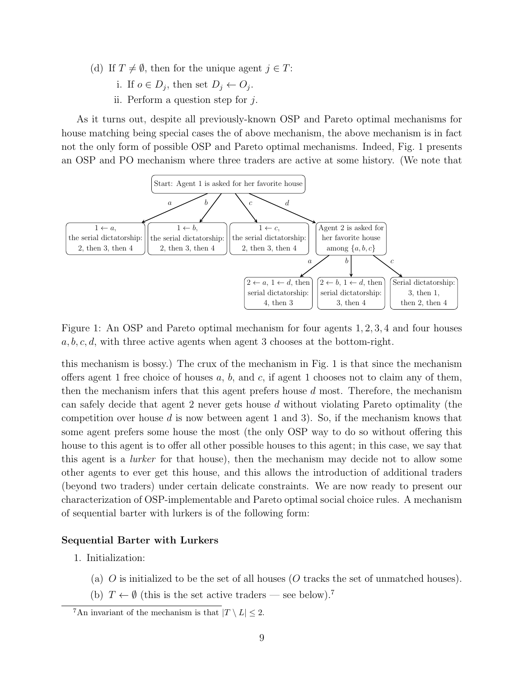- (d) If  $T \neq \emptyset$ , then for the unique agent  $j \in T$ :
	- i. If  $o \in D_j$ , then set  $D_j \leftarrow O_j$ .
	- ii. Perform a question step for  $j$ .

As it turns out, despite all previously-known OSP and Pareto optimal mechanisms for house matching being special cases the of above mechanism, the above mechanism is in fact not the only form of possible OSP and Pareto optimal mechanisms. Indeed, Fig. 1 presents an OSP and PO mechanism where three traders are active at some history. (We note that



Figure 1: An OSP and Pareto optimal mechanism for four agents 1, 2, 3, 4 and four houses  $a, b, c, d$ , with three active agents when agent 3 chooses at the bottom-right.

this mechanism is bossy.) The crux of the mechanism in Fig. 1 is that since the mechanism offers agent 1 free choice of houses  $a, b$ , and  $c$ , if agent 1 chooses not to claim any of them, then the mechanism infers that this agent prefers house  $d$  most. Therefore, the mechanism can safely decide that agent 2 never gets house d without violating Pareto optimality (the competition over house  $d$  is now between agent 1 and 3). So, if the mechanism knows that some agent prefers some house the most (the only OSP way to do so without offering this house to this agent is to offer all other possible houses to this agent; in this case, we say that this agent is a lurker for that house), then the mechanism may decide not to allow some other agents to ever get this house, and this allows the introduction of additional traders (beyond two traders) under certain delicate constraints. We are now ready to present our characterization of OSP-implementable and Pareto optimal social choice rules. A mechanism of sequential barter with lurkers is of the following form:

#### Sequential Barter with Lurkers

- 1. Initialization:
	- (a) O is initialized to be the set of all houses (O tracks the set of unmatched houses).
	- (b)  $T \leftarrow \emptyset$  (this is the set active traders see below).<sup>7</sup>

<sup>&</sup>lt;sup>7</sup>An invariant of the mechanism is that  $|T \setminus L| \leq 2$ .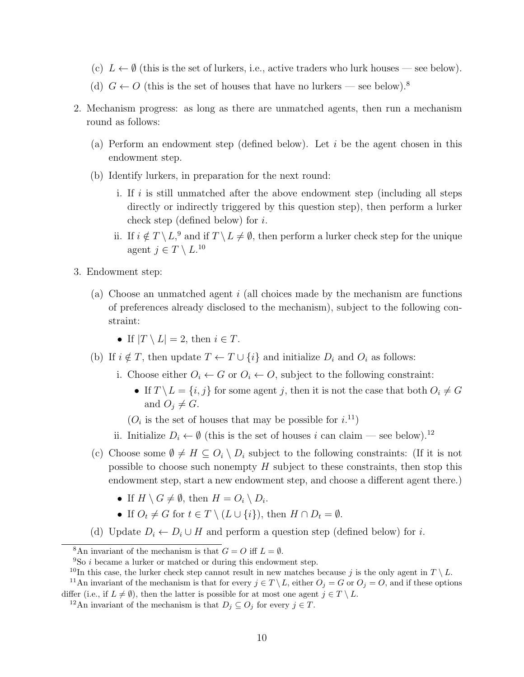- (c)  $L \leftarrow \emptyset$  (this is the set of lurkers, i.e., active traders who lurk houses see below).
- (d)  $G \leftarrow O$  (this is the set of houses that have no lurkers see below).<sup>8</sup>
- 2. Mechanism progress: as long as there are unmatched agents, then run a mechanism round as follows:
	- (a) Perform an endowment step (defined below). Let  $i$  be the agent chosen in this endowment step.
	- (b) Identify lurkers, in preparation for the next round:
		- i. If i is still unmatched after the above endowment step (including all steps directly or indirectly triggered by this question step), then perform a lurker check step (defined below) for i.
		- ii. If  $i \notin T \setminus L$ ,<sup>9</sup> and if  $T \setminus L \neq \emptyset$ , then perform a lurker check step for the unique agent  $j \in T \setminus L^{10}$
- 3. Endowment step:
	- (a) Choose an unmatched agent i (all choices made by the mechanism are functions of preferences already disclosed to the mechanism), subject to the following constraint:
		- If  $|T \setminus L| = 2$ , then  $i \in T$ .
	- (b) If  $i \notin T$ , then update  $T \leftarrow T \cup \{i\}$  and initialize  $D_i$  and  $O_i$  as follows:
		- i. Choose either  $O_i \leftarrow G$  or  $O_i \leftarrow O$ , subject to the following constraint:
			- If  $T \setminus L = \{i, j\}$  for some agent j, then it is not the case that both  $O_i \neq G$ and  $O_i \neq G$ .
			- $(O_i$  is the set of houses that may be possible for  $i$ .<sup>11</sup>)
		- ii. Initialize  $D_i \leftarrow \emptyset$  (this is the set of houses i can claim see below).<sup>12</sup>
	- (c) Choose some  $\emptyset \neq H \subseteq O_i \setminus D_i$  subject to the following constraints: (If it is not possible to choose such nonempty  $H$  subject to these constraints, then stop this endowment step, start a new endowment step, and choose a different agent there.)
		- If  $H \setminus G \neq \emptyset$ , then  $H = O_i \setminus D_i$ .
		- If  $O_t \neq G$  for  $t \in T \setminus (L \cup \{i\})$ , then  $H \cap D_t = \emptyset$ .
	- (d) Update  $D_i \leftarrow D_i \cup H$  and perform a question step (defined below) for i.

<sup>&</sup>lt;sup>8</sup>An invariant of the mechanism is that  $G = O$  iff  $L = \emptyset$ .

 $9S$ o *i* became a lurker or matched or during this endowment step.

<sup>&</sup>lt;sup>10</sup>In this case, the lurker check step cannot result in new matches because j is the only agent in  $T \setminus L$ .

<sup>&</sup>lt;sup>11</sup>An invariant of the mechanism is that for every  $j \in T \setminus L$ , either  $O_j = G$  or  $O_j = O$ , and if these options differ (i.e., if  $L \neq \emptyset$ ), then the latter is possible for at most one agent  $j \in T \setminus L$ .

<sup>&</sup>lt;sup>12</sup>An invariant of the mechanism is that  $D_j \subseteq O_j$  for every  $j \in T$ .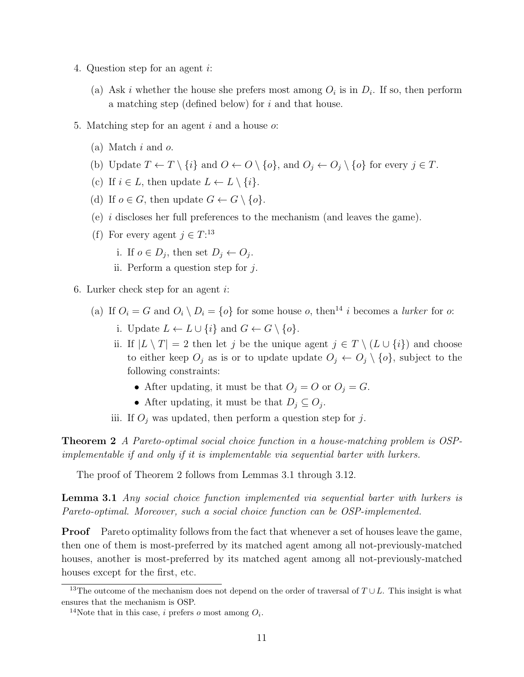- 4. Question step for an agent i:
	- (a) Ask *i* whether the house she prefers most among  $O_i$  is in  $D_i$ . If so, then perform a matching step (defined below) for i and that house.
- 5. Matching step for an agent i and a house  $\alpha$ :
	- (a) Match  $i$  and  $o$ .
	- (b) Update  $T \leftarrow T \setminus \{i\}$  and  $O \leftarrow O \setminus \{o\}$ , and  $O_i \leftarrow O_i \setminus \{o\}$  for every  $j \in T$ .
	- (c) If  $i \in L$ , then update  $L \leftarrow L \setminus \{i\}.$
	- (d) If  $o \in G$ , then update  $G \leftarrow G \setminus \{o\}.$
	- (e) i discloses her full preferences to the mechanism (and leaves the game).
	- (f) For every agent  $j \in T$ :<sup>13</sup>
		- i. If  $o \in D_j$ , then set  $D_j \leftarrow O_j$ .
		- ii. Perform a question step for  $j$ .
- 6. Lurker check step for an agent  $i$ :
	- (a) If  $O_i = G$  and  $O_i \setminus D_i = \{o\}$  for some house  $o$ , then<sup>14</sup> i becomes a *lurker* for  $o$ :
		- i. Update  $L \leftarrow L \cup \{i\}$  and  $G \leftarrow G \setminus \{o\}$ .
		- ii. If  $|L \setminus T| = 2$  then let j be the unique agent  $j \in T \setminus (L \cup \{i\})$  and choose to either keep  $O_j$  as is or to update update  $O_j \leftarrow O_j \setminus \{o\}$ , subject to the following constraints:
			- After updating, it must be that  $O_j = O$  or  $O_j = G$ .
			- After updating, it must be that  $D_j \subseteq O_j$ .
		- iii. If  $O_i$  was updated, then perform a question step for j.

Theorem 2 A Pareto-optimal social choice function in a house-matching problem is OSPimplementable if and only if it is implementable via sequential barter with lurkers.

The proof of Theorem 2 follows from Lemmas 3.1 through 3.12.

Lemma 3.1 Any social choice function implemented via sequential barter with lurkers is Pareto-optimal. Moreover, such a social choice function can be OSP-implemented.

**Proof** Pareto optimality follows from the fact that whenever a set of houses leave the game, then one of them is most-preferred by its matched agent among all not-previously-matched houses, another is most-preferred by its matched agent among all not-previously-matched houses except for the first, etc.

<sup>&</sup>lt;sup>13</sup>The outcome of the mechanism does not depend on the order of traversal of  $T \cup L$ . This insight is what ensures that the mechanism is OSP.

<sup>&</sup>lt;sup>14</sup>Note that in this case, *i* prefers *o* most among  $O_i$ .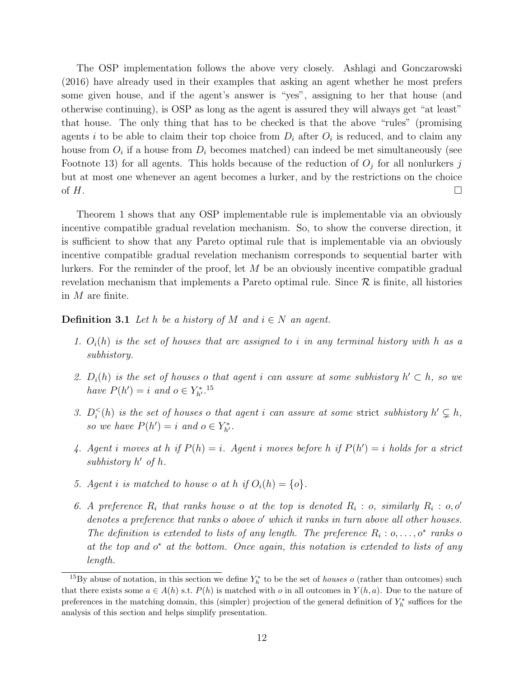The OSP implementation follows the above very closely. Ashlagi and Gonczarowski (2016) have already used in their examples that asking an agent whether he most prefers some given house, and if the agent's answer is "yes", assigning to her that house (and otherwise continuing), is OSP as long as the agent is assured they will always get "at least" that house. The only thing that has to be checked is that the above "rules" (promising agents i to be able to claim their top choice from  $D_i$  after  $O_i$  is reduced, and to claim any house from  $O_i$  if a house from  $D_i$  becomes matched) can indeed be met simultaneously (see Footnote 13) for all agents. This holds because of the reduction of  $O_j$  for all nonlurkers j but at most one whenever an agent becomes a lurker, and by the restrictions on the choice of  $H$ .

Theorem 1 shows that any OSP implementable rule is implementable via an obviously incentive compatible gradual revelation mechanism. So, to show the converse direction, it is sufficient to show that any Pareto optimal rule that is implementable via an obviously incentive compatible gradual revelation mechanism corresponds to sequential barter with lurkers. For the reminder of the proof, let  $M$  be an obviously incentive compatible gradual revelation mechanism that implements a Pareto optimal rule. Since  $\mathcal R$  is finite, all histories in M are finite.

**Definition 3.1** Let h be a history of M and  $i \in N$  an agent.

- 1.  $O_i(h)$  is the set of houses that are assigned to i in any terminal history with h as a subhistory.
- 2.  $D_i(h)$  is the set of houses o that agent i can assure at some subhistory  $h' \subset h$ , so we have  $P(h') = i$  and  $o \in Y_{h'}^{*}$ .<sup>15</sup>
- 3.  $D_i^{\lt}(h)$  is the set of houses o that agent i can assure at some strict subhistory  $h' \subsetneq h$ , so we have  $P(h') = i$  and  $o \in Y_{h'}^*$ .
- 4. Agent i moves at h if  $P(h) = i$ . Agent i moves before h if  $P(h') = i$  holds for a strict subhistory  $h'$  of  $h$ .
- 5. Agent i is matched to house o at h if  $O_i(h) = \{o\}.$
- 6. A preference  $R_i$  that ranks house o at the top is denoted  $R_i$ : o, similarly  $R_i$ : o, o' denotes a preference that ranks o above o' which it ranks in turn above all other houses. The definition is extended to lists of any length. The preference  $R_i : o, \ldots, o^*$  ranks of at the top and  $o^*$  at the bottom. Once again, this notation is extended to lists of any length.

<sup>&</sup>lt;sup>15</sup>By abuse of notation, in this section we define  $Y_h^*$  to be the set of *houses o* (rather than outcomes) such that there exists some  $a \in A(h)$  s.t.  $P(h)$  is matched with o in all outcomes in  $Y(h, a)$ . Due to the nature of preferences in the matching domain, this (simpler) projection of the general definition of  $Y_h^*$  suffices for the analysis of this section and helps simplify presentation.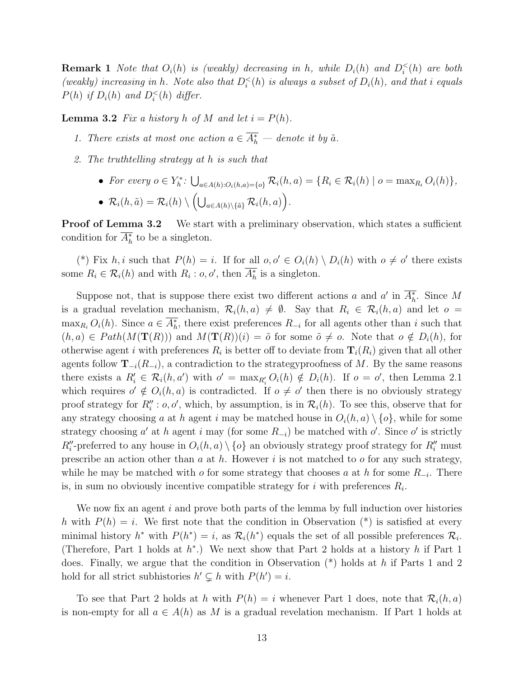**Remark 1** Note that  $O_i(h)$  is (weakly) decreasing in h, while  $D_i(h)$  and  $D_i^<(h)$  are both (weakly) increasing in h. Note also that  $D_i^<(h)$  is always a subset of  $D_i(h)$ , and that i equals  $P(h)$  if  $D_i(h)$  and  $D_i^<(h)$  differ.

**Lemma 3.2** Fix a history h of M and let  $i = P(h)$ .

- 1. There exists at most one action  $a \in A_h^*$  denote it by  $\tilde{a}$ .
- 2. The truthtelling strategy at h is such that
	- For every  $o \in Y_h^*$ :  $\bigcup_{a \in A(h): O_i(h, a) = \{o\}} \mathcal{R}_i(h, a) = \{R_i \in \mathcal{R}_i(h) \mid o = \max_{R_i} O_i(h)\},$ •  $\mathcal{R}_i(h, \tilde{a}) = \mathcal{R}_i(h) \setminus \left( \bigcup_{a \in A(h) \setminus \{\tilde{a}\}} \mathcal{R}_i(h, a) \right).$

**Proof of Lemma 3.2** We start with a preliminary observation, which states a sufficient condition for  $A_h^*$  to be a singleton.

(\*) Fix h, i such that  $P(h) = i$ . If for all  $o, o' \in O_i(h) \setminus D_i(h)$  with  $o \neq o'$  there exists some  $R_i \in \mathcal{R}_i(h)$  and with  $R_i : o, o'$ , then  $A_h^*$  is a singleton.

Suppose not, that is suppose there exist two different actions a and a' in  $A_h^*$ . Since M is a gradual revelation mechanism,  $\mathcal{R}_i(h, a) \neq \emptyset$ . Say that  $R_i \in \mathcal{R}_i(h, a)$  and let  $o =$  $\max_{R_i} O_i(h)$ . Since  $a \in A_h^*$ , there exist preferences  $R_{-i}$  for all agents other than i such that  $(h, a) \in Path(M(\mathbf{T}(R)))$  and  $M(\mathbf{T}(R))(i) = \tilde{o}$  for some  $\tilde{o} \neq o$ . Note that  $o \notin D_i(h)$ , for otherwise agent i with preferences  $R_i$  is better off to deviate from  $\mathbf{T}_i(R_i)$  given that all other agents follow  $\mathbf{T}_{-i}(R_{-i})$ , a contradiction to the strategy proofness of M. By the same reasons there exists a  $R'_i \in \mathcal{R}_i(h, a')$  with  $o' = \max_{R'_i} O_i(h) \notin D_i(h)$ . If  $o = o'$ , then Lemma 2.1 which requires  $o' \notin O_i(h, a)$  is contradicted. If  $o \neq o'$  then there is no obviously strategy proof strategy for  $R_i''$ :  $o, o'$ , which, by assumption, is in  $\mathcal{R}_i(h)$ . To see this, observe that for any strategy choosing a at h agent i may be matched house in  $O_i(h, a) \setminus \{o\}$ , while for some strategy choosing  $a'$  at h agent i may (for some  $R_{-i}$ ) be matched with  $o'$ . Since  $o'$  is strictly  $R''_i$ -preferred to any house in  $O_i(h, a) \setminus \{o\}$  an obviously strategy proof strategy for  $R''_i$  must prescribe an action other than  $a$  at  $h$ . However  $i$  is not matched to  $o$  for any such strategy, while he may be matched with *o* for some strategy that chooses a at h for some  $R_{-i}$ . There is, in sum no obviously incentive compatible strategy for  $i$  with preferences  $R_i$ .

We now fix an agent  $i$  and prove both parts of the lemma by full induction over histories h with  $P(h) = i$ . We first note that the condition in Observation  $(*)$  is satisfied at every minimal history  $h^*$  with  $P(h^*) = i$ , as  $\mathcal{R}_i(h^*)$  equals the set of all possible preferences  $\mathcal{R}_i$ . (Therefore, Part 1 holds at  $h^*$ .) We next show that Part 2 holds at a history h if Part 1 does. Finally, we argue that the condition in Observation  $(*)$  holds at h if Parts 1 and 2 hold for all strict subhistories  $h' \subsetneq h$  with  $P(h') = i$ .

To see that Part 2 holds at h with  $P(h) = i$  whenever Part 1 does, note that  $\mathcal{R}_i(h, a)$ is non-empty for all  $a \in A(h)$  as M is a gradual revelation mechanism. If Part 1 holds at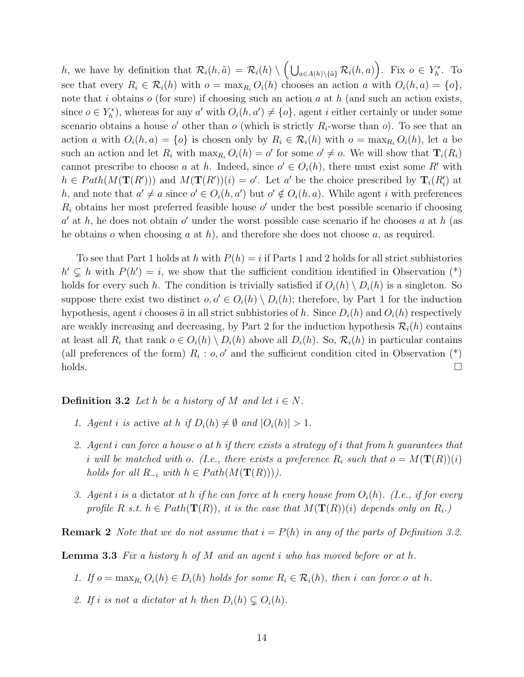h, we have by definition that  $\mathcal{R}_i(h, \tilde{a}) = \mathcal{R}_i(h) \setminus \left( \bigcup_{a \in A(h) \setminus \{\tilde{a}\}} \mathcal{R}_i(h, a) \right)$ . Fix  $o \in Y_h^*$ . To see that every  $R_i \in \mathcal{R}_i(h)$  with  $o = \max_{R_i} O_i(h)$  chooses an action a with  $O_i(h, a) = \{o\},$ note that i obtains  $o$  (for sure) if choosing such an action  $a$  at  $h$  (and such an action exists, since  $o \in Y_h^*$ , whereas for any a' with  $O_i(h, a') \neq \{o\}$ , agent i either certainly or under some scenario obtains a house o' other than o (which is strictly  $R_i$ -worse than o). To see that an action a with  $O_i(h, a) = \{o\}$  is chosen only by  $R_i \in \mathcal{R}_i(h)$  with  $o = \max_{R_i} O_i(h)$ , let a be such an action and let  $R_i$  with  $\max_{R_i} O_i(h) = o'$  for some  $o' \neq o$ . We will show that  $\mathbf{T}_i(R_i)$ cannot prescribe to choose a at h. Indeed, since  $o' \in O_i(h)$ , there must exist some R' with  $h \in Path(M(\mathbf{T}(R')))$  and  $M(\mathbf{T}(R'))(i) = o'$ . Let a' be the choice prescribed by  $\mathbf{T}_i(R'_i)$  at h, and note that  $a' \neq a$  since  $o' \in O_i(h, a')$  but  $o' \notin O_i(h, a)$ . While agent i with preferences  $R_i$  obtains her most preferred feasible house  $o'$  under the best possible scenario if choosing  $a'$  at h, he does not obtain  $o'$  under the worst possible case scenario if he chooses a at h (as he obtains  $o$  when choosing  $a$  at  $h$ ), and therefore she does not choose  $a$ , as required.

To see that Part 1 holds at h with  $P(h) = i$  if Parts 1 and 2 holds for all strict subhistories  $h' \subsetneq h$  with  $P(h') = i$ , we show that the sufficient condition identified in Observation (\*) holds for every such h. The condition is trivially satisfied if  $O_i(h) \setminus D_i(h)$  is a singleton. So suppose there exist two distinct  $o, o' \in O<sub>i</sub>(h) \setminus D<sub>i</sub>(h)$ ; therefore, by Part 1 for the induction hypothesis, agent i chooses  $\tilde{a}$  in all strict subhistories of h. Since  $D_i(h)$  and  $O_i(h)$  respectively are weakly increasing and decreasing, by Part 2 for the induction hypothesis  $\mathcal{R}_i(h)$  contains at least all  $R_i$  that rank  $o \in O_i(h) \setminus D_i(h)$  above all  $D_i(h)$ . So,  $\mathcal{R}_i(h)$  in particular contains (all preferences of the form)  $R_i : o, o'$  and the sufficient condition cited in Observation (\*)  $\Box$ holds.

#### **Definition 3.2** Let h be a history of M and let  $i \in N$ .

- 1. Agent i is active at h if  $D_i(h) \neq \emptyset$  and  $|O_i(h)| > 1$ .
- 2. Agent i can force a house o at h if there exists a strategy of i that from h guarantees that i will be matched with o. (I.e., there exists a preference  $R_i$  such that  $o = M(\mathbf{T}(R))(i)$ holds for all  $R_{-i}$  with  $h \in Path(M(\mathbf{T}(R)))$ .
- 3. Agent i is a dictator at h if he can force at h every house from  $O_i(h)$ . (I.e., if for every profile R s.t.  $h \in Path(\mathbf{T}(R))$ , it is the case that  $M(\mathbf{T}(R))(i)$  depends only on  $R_i$ .)

**Remark 2** Note that we do not assume that  $i = P(h)$  in any of the parts of Definition 3.2.

**Lemma 3.3** Fix a history h of M and an agent i who has moved before or at h.

- 1. If  $o = \max_{R_i} O_i(h) \in D_i(h)$  holds for some  $R_i \in \mathcal{R}_i(h)$ , then i can force o at h.
- 2. If i is not a dictator at h then  $D_i(h) \subsetneq O_i(h)$ .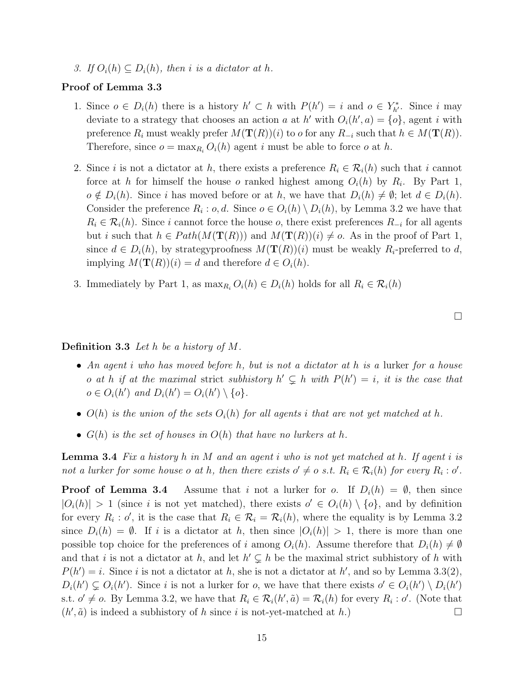3. If  $O_i(h) \subseteq D_i(h)$ , then i is a dictator at h.

#### Proof of Lemma 3.3

- 1. Since  $o \in D_i(h)$  there is a history  $h' \subset h$  with  $P(h') = i$  and  $o \in Y^*_{h'}$ . Since i may deviate to a strategy that chooses an action a at h' with  $O_i(h', a) = \{o\}$ , agent i with preference  $R_i$  must weakly prefer  $M(\mathbf{T}(R))(i)$  to  $o$  for any  $R_{-i}$  such that  $h \in M(\mathbf{T}(R))$ . Therefore, since  $o = \max_{R_i} O_i(h)$  agent i must be able to force o at h.
- 2. Since i is not a dictator at h, there exists a preference  $R_i \in \mathcal{R}_i(h)$  such that i cannot force at h for himself the house o ranked highest among  $O_i(h)$  by  $R_i$ . By Part 1,  $o \notin D_i(h)$ . Since i has moved before or at h, we have that  $D_i(h) \neq \emptyset$ ; let  $d \in D_i(h)$ . Consider the preference  $R_i$ :  $o, d$ . Since  $o \in O_i(h) \setminus D_i(h)$ , by Lemma 3.2 we have that  $R_i \in \mathcal{R}_i(h)$ . Since i cannot force the house  $o$ , there exist preferences  $R_{-i}$  for all agents but i such that  $h \in Path(M(\mathbf{T}(R)))$  and  $M(\mathbf{T}(R))(i) \neq o$ . As in the proof of Part 1, since  $d \in D_i(h)$ , by strategyproofness  $M(\mathbf{T}(R))(i)$  must be weakly  $R_i$ -preferred to d, implying  $M(\mathbf{T}(R))(i) = d$  and therefore  $d \in O_i(h)$ .
- 3. Immediately by Part 1, as  $\max_{R_i} O_i(h) \in D_i(h)$  holds for all  $R_i \in \mathcal{R}_i(h)$

#### **Definition 3.3** Let h be a history of M.

- An agent i who has moved before h, but is not a dictator at h is a lurker for a house o at h if at the maximal strict subhistory  $h' \subsetneq h$  with  $P(h') = i$ , it is the case that  $o \in O_i(h')$  and  $D_i(h') = O_i(h') \setminus \{o\}.$
- $O(h)$  is the union of the sets  $O_i(h)$  for all agents i that are not yet matched at h.
- $G(h)$  is the set of houses in  $O(h)$  that have no lurkers at h.

**Lemma 3.4** Fix a history h in M and an agent i who is not yet matched at h. If agent i is not a lurker for some house o at h, then there exists  $o' \neq o$  s.t.  $R_i \in \mathcal{R}_i(h)$  for every  $R_i : o'$ .

**Proof of Lemma 3.4** Assume that i not a lurker for o. If  $D_i(h) = \emptyset$ , then since  $|O_i(h)| > 1$  (since i is not yet matched), there exists  $o' \in O_i(h) \setminus \{o\}$ , and by definition for every  $R_i : o'$ , it is the case that  $R_i \in \mathcal{R}_i = \mathcal{R}_i(h)$ , where the equality is by Lemma 3.2 since  $D_i(h) = \emptyset$ . If i is a dictator at h, then since  $|O_i(h)| > 1$ , there is more than one possible top choice for the preferences of i among  $O_i(h)$ . Assume therefore that  $D_i(h) \neq \emptyset$ and that i is not a dictator at h, and let  $h' \subsetneq h$  be the maximal strict subhistory of h with  $P(h') = i$ . Since i is not a dictator at h, she is not a dictator at h', and so by Lemma 3.3(2),  $D_i(h') \subsetneq O_i(h')$ . Since i is not a lurker for o, we have that there exists  $o' \in O_i(h') \setminus D_i(h')$ s.t.  $o' \neq o$ . By Lemma 3.2, we have that  $R_i \in \mathcal{R}_i(h', \tilde{a}) = \mathcal{R}_i(h)$  for every  $R_i : o'$ . (Note that  $(h', \tilde{a})$  is indeed a subhistory of h since i is not-yet-matched at h.)

 $\Box$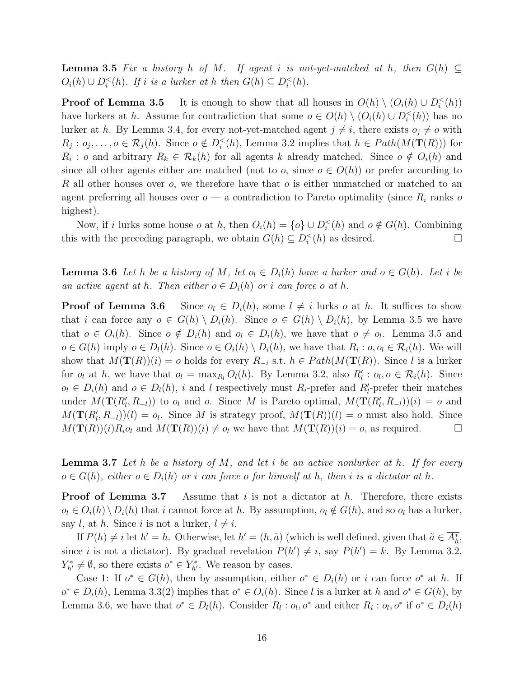**Lemma 3.5** Fix a history h of M. If agent i is not-yet-matched at h, then  $G(h) \subseteq$  $O_i(h) \cup D_i^<(h)$ . If i is a lurker at h then  $G(h) \subseteq D_i^<(h)$ .

**Proof of Lemma 3.5** It is enough to show that all houses in  $O(h) \setminus (O_i(h) \cup D_i^<(h))$ have lurkers at h. Assume for contradiction that some  $o \in O(h) \setminus (O_i(h) \cup D_i^{\lt}(h))$  has no lurker at h. By Lemma 3.4, for every not-yet-matched agent  $j \neq i$ , there exists  $o_j \neq o$  with  $R_j: o_j, \ldots, o \in \mathcal{R}_j(h)$ . Since  $o \notin D_i^{\lt}(h)$ , Lemma 3.2 implies that  $h \in Path(M(\mathbf{T}(R)))$  for  $R_i$ : o and arbitrary  $R_k \in \mathcal{R}_k(h)$  for all agents k already matched. Since  $o \notin O_i(h)$  and since all other agents either are matched (not to o, since  $o \in O(h)$ ) or prefer according to R all other houses over  $o$ , we therefore have that  $o$  is either unmatched or matched to an agent preferring all houses over  $o - a$  contradiction to Pareto optimality (since  $R_i$  ranks o highest).

Now, if i lurks some house  $o$  at  $h$ , then  $O_i(h) = \{o\} \cup D_i^<(h)$  and  $o \notin G(h)$ . Combining this with the preceding paragraph, we obtain  $G(h) \subseteq D_i^<(h)$  as desired.

**Lemma 3.6** Let h be a history of M, let  $o_i \in D_i(h)$  have a lurker and  $o \in G(h)$ . Let i be an active agent at h. Then either  $o \in D<sub>i</sub>(h)$  or i can force o at h.

**Proof of Lemma 3.6** Since  $o_l \in D_i(h)$ , some  $l \neq i$  lurks o at h. It suffices to show that i can force any  $o \in G(h) \setminus D_i(h)$ . Since  $o \in G(h) \setminus D_i(h)$ , by Lemma 3.5 we have that  $o \in O_i(h)$ . Since  $o \notin D_i(h)$  and  $o_i \in D_i(h)$ , we have that  $o \neq o_i$ . Lemma 3.5 and  $o \in G(h)$  imply  $o \in D_l(h)$ . Since  $o \in O_i(h) \setminus D_i(h)$ , we have that  $R_i : o, o_l \in \mathcal{R}_i(h)$ . We will show that  $M(\mathbf{T}(R))(i) = o$  holds for every  $R_{-i}$  s.t.  $h \in Path(M(\mathbf{T}(R))$ . Since l is a lurker for  $o_l$  at h, we have that  $o_l = \max_{R_l} O_l(h)$ . By Lemma 3.2, also  $R'_l : o_l, o \in \mathcal{R}_i(h)$ . Since  $o_l \in D_i(h)$  and  $o \in D_l(h)$ , i and l respectively must  $R_i$ -prefer and  $R'_i$ -prefer their matches under  $M(\mathbf{T}(R_l', R_{-l}))$  to  $o_l$  and  $o$ . Since M is Pareto optimal,  $M(\mathbf{T}(R_l', R_{-l}))(i) = o$  and  $M(\mathbf{T}(R_l', R_{-l}))(l) = o_l$ . Since M is strategy proof,  $M(\mathbf{T}(R))(l) = o$  must also hold. Since  $M(\mathbf{T}(R))(i)R_i o_l$  and  $M(\mathbf{T}(R))(i) \neq o_l$  we have that  $M(\mathbf{T}(R))(i) = o$ , as required.

**Lemma 3.7** Let h be a history of M, and let i be an active nonlurker at h. If for every  $o \in G(h)$ , either  $o \in D_i(h)$  or i can force o for himself at h, then i is a dictator at h.

**Proof of Lemma 3.7** Assume that i is not a dictator at  $h$ . Therefore, there exists  $o_l \in O_i(h) \setminus D_i(h)$  that i cannot force at h. By assumption,  $o_l \notin G(h)$ , and so  $o_l$  has a lurker, say l, at h. Since i is not a lurker,  $l \neq i$ .

If  $P(h) \neq i$  let  $h' = h$ . Otherwise, let  $h' = (h, \tilde{a})$  (which is well defined, given that  $\tilde{a} \in A_h^*$ , since *i* is not a dictator). By gradual revelation  $P(h') \neq i$ , say  $P(h') = k$ . By Lemma 3.2,  $Y_{h'}^* \neq \emptyset$ , so there exists  $o^* \in Y_{h'}^*$ . We reason by cases.

Case 1: If  $o^* \in G(h)$ , then by assumption, either  $o^* \in D_i(h)$  or i can force  $o^*$  at h. If  $o^* \in D_i(h)$ , Lemma 3.3(2) implies that  $o^* \in O_i(h)$ . Since l is a lurker at h and  $o^* \in G(h)$ , by Lemma 3.6, we have that  $o^* \in D_l(h)$ . Consider  $R_l : o_l, o^*$  and either  $R_i : o_l, o^*$  if  $o^* \in D_i(h)$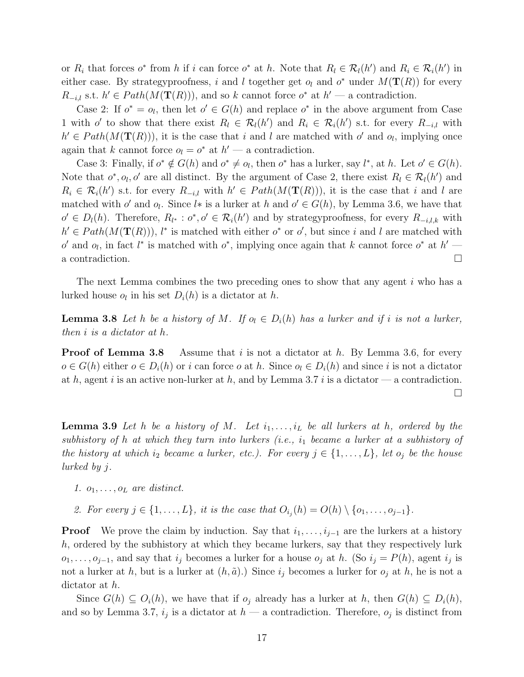or  $R_i$  that forces  $o^*$  from h if i can force  $o^*$  at h. Note that  $R_l \in \mathcal{R}_l(h')$  and  $R_i \in \mathcal{R}_i(h')$  in either case. By strategyproofness, i and l together get  $o_l$  and  $o^*$  under  $M(\mathbf{T}(R))$  for every  $R_{-i,l}$  s.t.  $h' \in Path(M(\mathbf{T}(R)))$ , and so k cannot force  $o^*$  at  $h'$  — a contradiction.

Case 2: If  $o^* = o_l$ , then let  $o' \in G(h)$  and replace  $o^*$  in the above argument from Case 1 with o' to show that there exist  $R_l \in \mathcal{R}_l(h')$  and  $R_i \in \mathcal{R}_i(h')$  s.t. for every  $R_{-i,l}$  with  $h' \in Path(M(\mathbf{T}(R)))$ , it is the case that i and l are matched with  $o'$  and  $o_l$ , implying once again that k cannot force  $o_l = o^*$  at  $h'$  — a contradiction.

Case 3: Finally, if  $o^* \notin G(h)$  and  $o^* \neq o_l$ , then  $o^*$  has a lurker, say  $l^*$ , at h. Let  $o' \in G(h)$ . Note that  $o^*$ ,  $o_l$ ,  $o'$  are all distinct. By the argument of Case 2, there exist  $R_l \in \mathcal{R}_l(h')$  and  $R_i \in \mathcal{R}_i(h')$  s.t. for every  $R_{-i,l}$  with  $h' \in Path(M(\mathbf{T}(R)))$ , it is the case that i and l are matched with  $o'$  and  $o_l$ . Since  $l*$  is a lurker at h and  $o' \in G(h)$ , by Lemma 3.6, we have that  $o' \in D_l(h)$ . Therefore,  $R_{l^*}: o^*, o' \in \mathcal{R}_i(h')$  and by strategyproofness, for every  $R_{-i,l,k}$  with  $h' \in Path(M(\mathbf{T}(R))),$  l<sup>\*</sup> is matched with either  $o^*$  or  $o'$ , but since i and l are matched with  $o'$  and  $o_l$ , in fact  $l^*$  is matched with  $o^*$ , implying once again that k cannot force  $o^*$  at  $h'$ a contradiction.

The next Lemma combines the two preceding ones to show that any agent i who has a lurked house  $o_l$  in his set  $D_i(h)$  is a dictator at h.

**Lemma 3.8** Let h be a history of M. If  $o_i \in D_i(h)$  has a lurker and if i is not a lurker, then i is a dictator at h.

**Proof of Lemma 3.8** Assume that i is not a dictator at h. By Lemma 3.6, for every  $o \in G(h)$  either  $o \in D_i(h)$  or i can force o at h. Since  $o_i \in D_i(h)$  and since i is not a dictator at h, agent i is an active non-lurker at h, and by Lemma 3.7 i is a dictator — a contradiction.  $\Box$ 

**Lemma 3.9** Let h be a history of M. Let  $i_1, \ldots, i_L$  be all lurkers at h, ordered by the subhistory of h at which they turn into lurkers (i.e.,  $i_1$  became a lurker at a subhistory of the history at which i<sub>2</sub> became a lurker, etc.). For every  $j \in \{1, ..., L\}$ , let  $o_j$  be the house lurked by j.

- 1.  $o_1, \ldots, o_L$  are distinct.
- 2. For every  $j \in \{1, \ldots, L\}$ , it is the case that  $O_{i_j}(h) = O(h) \setminus \{o_1, \ldots, o_{j-1}\}.$

**Proof** We prove the claim by induction. Say that  $i_1, \ldots, i_{i-1}$  are the lurkers at a history h, ordered by the subhistory at which they became lurkers, say that they respectively lurk  $o_1, \ldots, o_{j-1}$ , and say that  $i_j$  becomes a lurker for a house  $o_j$  at h. (So  $i_j = P(h)$ , agent  $i_j$  is not a lurker at h, but is a lurker at  $(h, \tilde{a})$ .) Since  $i_j$  becomes a lurker for  $o_j$  at h, he is not a dictator at h.

Since  $G(h) \subseteq O_i(h)$ , we have that if  $o_i$  already has a lurker at h, then  $G(h) \subseteq D_i(h)$ , and so by Lemma 3.7,  $i_j$  is a dictator at  $h$  — a contradiction. Therefore,  $o_j$  is distinct from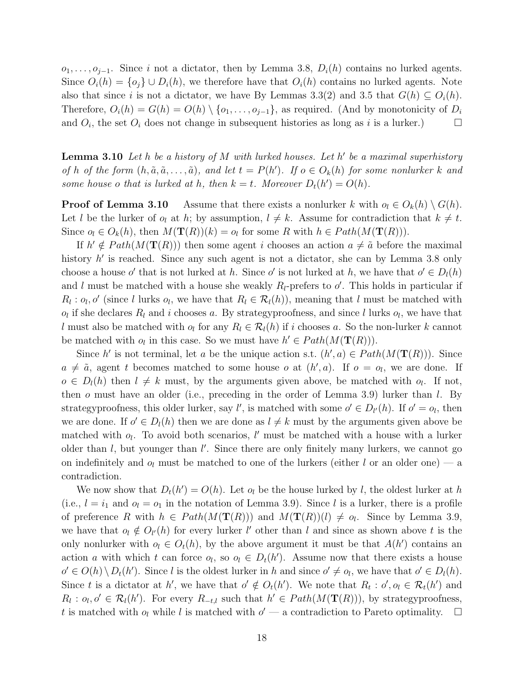$o_1, \ldots, o_{j-1}$ . Since i not a dictator, then by Lemma 3.8,  $D_i(h)$  contains no lurked agents. Since  $O_i(h) = \{o_j\} \cup D_i(h)$ , we therefore have that  $O_i(h)$  contains no lurked agents. Note also that since i is not a dictator, we have By Lemmas 3.3(2) and 3.5 that  $G(h) \subseteq O<sub>i</sub>(h)$ . Therefore,  $O_i(h) = G(h) = O(h) \setminus \{o_1, \ldots, o_{j-1}\}\$ , as required. (And by monotonicity of  $D_i$ and  $O_i$ , the set  $O_i$  does not change in subsequent histories as long as i is a lurker.)  $\Box$ 

**Lemma 3.10** Let h be a history of M with lurked houses. Let h' be a maximal superhistory of h of the form  $(h, \tilde{a}, \tilde{a}, \ldots, \tilde{a})$ , and let  $t = P(h')$ . If  $o \in O_k(h)$  for some nonlurker k and some house o that is lurked at h, then  $k = t$ . Moreover  $D_t(h') = O(h)$ .

**Proof of Lemma 3.10** Assume that there exists a nonlurker k with  $o_l \in O_k(h) \setminus G(h)$ . Let l be the lurker of  $o_l$  at h; by assumption,  $l \neq k$ . Assume for contradiction that  $k \neq t$ . Since  $o_l \in O_k(h)$ , then  $M(\mathbf{T}(R))(k) = o_l$  for some R with  $h \in Path(M(\mathbf{T}(R)))$ .

If  $h' \notin Path(M(\mathbf{T}(R)))$  then some agent i chooses an action  $a \neq \tilde{a}$  before the maximal history h' is reached. Since any such agent is not a dictator, she can by Lemma 3.8 only choose a house o' that is not lurked at h. Since o' is not lurked at h, we have that  $o' \in D_l(h)$ and l must be matched with a house she weakly  $R_l$ -prefers to  $o'$ . This holds in particular if  $R_l: o_l, o'$  (since l lurks  $o_l$ , we have that  $R_l \in \mathcal{R}_l(h)$ ), meaning that l must be matched with  $o_l$  if she declares  $R_l$  and i chooses a. By strategyproofness, and since l lurks  $o_l$ , we have that l must also be matched with  $o_l$  for any  $R_l \in \mathcal{R}_l(h)$  if i chooses a. So the non-lurker k cannot be matched with  $o_l$  in this case. So we must have  $h' \in Path(M(\mathbf{T}(R)))$ .

Since h' is not terminal, let a be the unique action s.t.  $(h', a) \in Path(M(\mathbf{T}(R)))$ . Since  $a \neq \tilde{a}$ , agent t becomes matched to some house o at  $(h', a)$ . If  $o = o_l$ , we are done. If  $o \in D_l(h)$  then  $l \neq k$  must, by the arguments given above, be matched with  $o_l$ . If not, then  $o$  must have an older (i.e., preceding in the order of Lemma 3.9) lurker than  $l$ . By strategyproofness, this older lurker, say  $l'$ , is matched with some  $o' \in D_{l'}(h)$ . If  $o' = o_l$ , then we are done. If  $o' \in D_l(h)$  then we are done as  $l \neq k$  must by the arguments given above be matched with  $o_l$ . To avoid both scenarios, l' must be matched with a house with a lurker older than  $l$ , but younger than  $l'$ . Since there are only finitely many lurkers, we cannot go on indefinitely and  $o_l$  must be matched to one of the lurkers (either l or an older one) — a contradiction.

We now show that  $D_t(h') = O(h)$ . Let  $o_l$  be the house lurked by l, the oldest lurker at h (i.e.,  $l = i_1$  and  $o_l = o_1$  in the notation of Lemma 3.9). Since l is a lurker, there is a profile of preference R with  $h \in Path(M(\mathbf{T}(R)))$  and  $M(\mathbf{T}(R))(l) \neq o_l$ . Since by Lemma 3.9, we have that  $o_l \notin O_{l'}(h)$  for every lurker l' other than l and since as shown above t is the only nonlurker with  $o_l \in O_t(h)$ , by the above argument it must be that  $A(h')$  contains an action a with which t can force  $o_l$ , so  $o_l \in D_t(h')$ . Assume now that there exists a house  $o' \in O(h) \setminus D_t(h')$ . Since l is the oldest lurker in h and since  $o' \neq o_l$ , we have that  $o' \in D_l(h)$ . Since t is a dictator at h', we have that  $o' \notin O_t(h')$ . We note that  $R_t : o', o_l \in \mathcal{R}_t(h')$  and  $R_l: o_l, o' \in \mathcal{R}_l(h')$ . For every  $R_{-t,l}$  such that  $h' \in Path(M(\mathbf{T}(R)))$ , by strategyproofness, t is matched with  $o_l$  while l is matched with  $o'$  — a contradiction to Pareto optimality.  $\Box$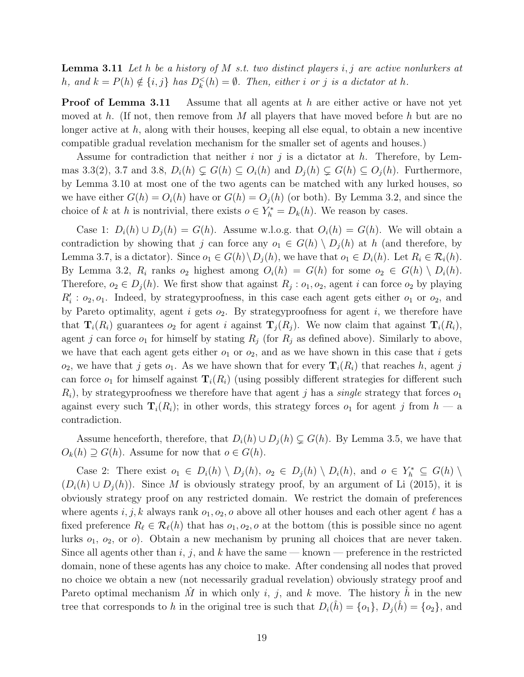**Lemma 3.11** Let h be a history of M s.t. two distinct players i, j are active nonlurkers at h, and  $k = P(h) \notin \{i, j\}$  has  $D_k^<(h) = \emptyset$ . Then, either i or j is a dictator at h.

**Proof of Lemma 3.11** Assume that all agents at h are either active or have not yet moved at h. (If not, then remove from M all players that have moved before h but are no longer active at  $h$ , along with their houses, keeping all else equal, to obtain a new incentive compatible gradual revelation mechanism for the smaller set of agents and houses.)

Assume for contradiction that neither i nor j is a dictator at h. Therefore, by Lemmas 3.3(2), 3.7 and 3.8,  $D_i(h) \subsetneq G(h) \subseteq O_i(h)$  and  $D_i(h) \subsetneq G(h) \subseteq O_i(h)$ . Furthermore, by Lemma 3.10 at most one of the two agents can be matched with any lurked houses, so we have either  $G(h) = O<sub>i</sub>(h)$  have or  $G(h) = O<sub>i</sub>(h)$  (or both). By Lemma 3.2, and since the choice of k at h is nontrivial, there exists  $o \in Y_h^* = D_k(h)$ . We reason by cases.

Case 1:  $D_i(h) \cup D_j(h) = G(h)$ . Assume w.l.o.g. that  $O_i(h) = G(h)$ . We will obtain a contradiction by showing that j can force any  $o_1 \in G(h) \setminus D_i(h)$  at h (and therefore, by Lemma 3.7, is a dictator). Since  $o_1 \in G(h) \backslash D_i(h)$ , we have that  $o_1 \in D_i(h)$ . Let  $R_i \in \mathcal{R}_i(h)$ . By Lemma 3.2,  $R_i$  ranks  $o_2$  highest among  $O_i(h) = G(h)$  for some  $o_2 \in G(h) \setminus D_i(h)$ . Therefore,  $o_2 \in D_j(h)$ . We first show that against  $R_j : o_1, o_2$ , agent i can force  $o_2$  by playing  $R'_i: o_2, o_1$ . Indeed, by strategyproofness, in this case each agent gets either  $o_1$  or  $o_2$ , and by Pareto optimality, agent i gets  $o_2$ . By strategyproofness for agent i, we therefore have that  $\mathbf{T}_i(R_i)$  guarantees  $o_2$  for agent i against  $\mathbf{T}_i(R_i)$ . We now claim that against  $\mathbf{T}_i(R_i)$ , agent j can force  $o_1$  for himself by stating  $R_j$  (for  $R_j$  as defined above). Similarly to above, we have that each agent gets either  $o_1$  or  $o_2$ , and as we have shown in this case that i gets  $o_2$ , we have that j gets  $o_1$ . As we have shown that for every  $\mathbf{T}_i(R_i)$  that reaches h, agent j can force  $o_1$  for himself against  $\mathbf{T}_i(R_i)$  (using possibly different strategies for different such  $R_i$ , by strategy proofness we therefore have that agent j has a *single* strategy that forces  $o_1$ against every such  $\mathbf{T}_i(R_i)$ ; in other words, this strategy forces  $o_1$  for agent j from  $h - a$ contradiction.

Assume henceforth, therefore, that  $D_i(h) \cup D_j(h) \subsetneq G(h)$ . By Lemma 3.5, we have that  $O_k(h) \supseteq G(h)$ . Assume for now that  $o \in G(h)$ .

Case 2: There exist  $o_1 \in D_i(h) \setminus D_j(h)$ ,  $o_2 \in D_j(h) \setminus D_i(h)$ , and  $o \in Y_h^* \subseteq G(h) \setminus D_j(h)$  $(D_i(h) \cup D_i(h))$ . Since M is obviously strategy proof, by an argument of Li (2015), it is obviously strategy proof on any restricted domain. We restrict the domain of preferences where agents i, j, k always rank  $o_1$ ,  $o_2$ , o above all other houses and each other agent  $\ell$  has a fixed preference  $R_\ell \in \mathcal{R}_\ell(h)$  that has  $o_1, o_2, o$  at the bottom (this is possible since no agent lurks  $o_1$ ,  $o_2$ , or  $o$ ). Obtain a new mechanism by pruning all choices that are never taken. Since all agents other than i, j, and k have the same — known — preference in the restricted domain, none of these agents has any choice to make. After condensing all nodes that proved no choice we obtain a new (not necessarily gradual revelation) obviously strategy proof and Pareto optimal mechanism M in which only i, j, and k move. The history h in the new tree that corresponds to h in the original tree is such that  $D_i(\hat{h}) = \{o_1\}, D_j(\hat{h}) = \{o_2\}$ , and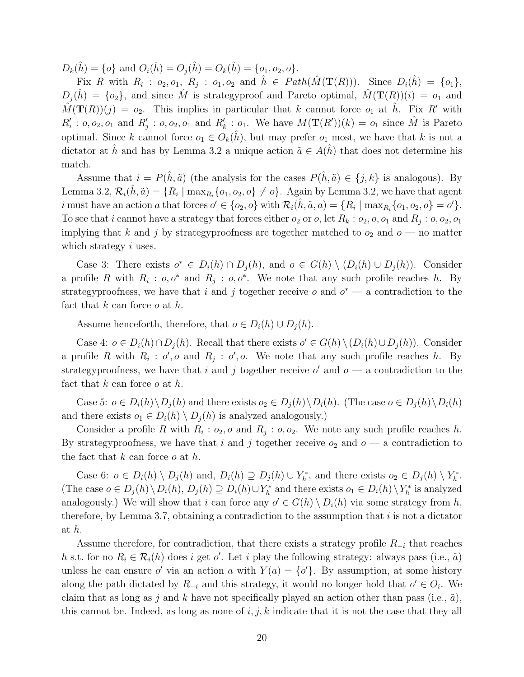$D_k(\hat{h}) = \{o\}$  and  $O_i(\hat{h}) = O_i(\hat{h}) = O_k(\hat{h}) = \{o_1, o_2, o\}.$ 

Fix R with  $R_i$ :  $o_2, o_1, R_j$ :  $o_1, o_2$  and  $\hat{h} \in Path(\hat{M}(\mathbf{T}(R)))$ . Since  $D_i(\hat{h}) = \{o_1\},\$  $D_i(\hat{h}) = \{o_2\}$ , and since  $\hat{M}$  is strategyproof and Pareto optimal,  $\hat{M}(\mathbf{T}(R))(i) = o_1$  and  $\hat{M}(\mathbf{T}(R))(j) = o_2$ . This implies in particular that k cannot force  $o_1$  at  $\hat{h}$ . Fix R' with  $R'_i: o, o_2, o_1$  and  $R'_j: o, o_2, o_1$  and  $R'_k: o_1$ . We have  $M(\mathbf{T}(R'))(k) = o_1$  since  $\hat{M}$  is Pareto optimal. Since k cannot force  $o_1 \in O_k(\hat{h})$ , but may prefer  $o_1$  most, we have that k is not a dictator at  $\hat{h}$  and has by Lemma 3.2 a unique action  $\tilde{a} \in A(\hat{h})$  that does not determine his match.

Assume that  $i = P(\hat{h}, \tilde{a})$  (the analysis for the cases  $P(\hat{h}, \tilde{a}) \in \{j, k\}$  is analogous). By Lemma 3.2,  $\mathcal{R}_i(\hat{h}, \tilde{a}) = \{R_i \mid \max_{R_i} \{o_1, o_2, o\} \neq o\}$ . Again by Lemma 3.2, we have that agent i must have an action a that forces  $o' \in \{o_2, o\}$  with  $\mathcal{R}_i(\hat{h}, \tilde{a}, a) = \{R_i \mid \max_{R_i} \{o_1, o_2, o\} = o'\}.$ To see that i cannot have a strategy that forces either  $o_2$  or  $o$ , let  $R_k$  :  $o_2$ ,  $o$ ,  $o_1$  and  $R_j$  :  $o$ ,  $o_2$ ,  $o_1$ implying that k and j by strategyproofness are together matched to  $o_2$  and  $o$  — no matter which strategy  $i$  uses.

Case 3: There exists  $o^* \in D_i(h) \cap D_j(h)$ , and  $o \in G(h) \setminus (D_i(h) \cup D_j(h))$ . Consider a profile R with  $R_i: o, o^*$  and  $R_j: o, o^*$ . We note that any such profile reaches h. By strategyproofness, we have that i and j together receive  $o$  and  $o^*$  — a contradiction to the fact that  $k$  can force  $o$  at  $h$ .

Assume henceforth, therefore, that  $o \in D_i(h) \cup D_i(h)$ .

Case 4:  $o \in D_i(h) \cap D_j(h)$ . Recall that there exists  $o' \in G(h) \setminus (D_i(h) \cup D_j(h))$ . Consider a profile R with  $R_i : o', o$  and  $R_j : o', o$ . We note that any such profile reaches h. By strategyproofness, we have that i and j together receive  $o'$  and  $o$  — a contradiction to the fact that  $k$  can force  $o$  at  $h$ .

Case 5:  $o \in D_i(h) \backslash D_j(h)$  and there exists  $o_2 \in D_i(h) \backslash D_i(h)$ . (The case  $o \in D_i(h) \backslash D_i(h)$ ) and there exists  $o_1 \in D_i(h) \setminus D_i(h)$  is analyzed analogously.)

Consider a profile R with  $R_i$ :  $o_2$ ,  $o$  and  $R_j$ :  $o$ ,  $o_2$ . We note any such profile reaches h. By strategy proofness, we have that i and j together receive  $o_2$  and  $o - a$  contradiction to the fact that  $k$  can force  $o$  at  $h$ .

Case 6:  $o \in D_i(h) \setminus D_j(h)$  and,  $D_i(h) \supseteq D_j(h) \cup Y_h^*$ , and there exists  $o_2 \in D_j(h) \setminus Y_h^*$ . (The case  $o \in D_j(h) \setminus D_i(h), D_j(h) \supseteq D_i(h) \cup Y_h^*$  and there exists  $o_1 \in D_i(h) \setminus Y_h^*$  is analyzed analogously.) We will show that i can force any  $o' \in G(h) \setminus D_i(h)$  via some strategy from h, therefore, by Lemma 3.7, obtaining a contradiction to the assumption that  $i$  is not a dictator at h.

Assume therefore, for contradiction, that there exists a strategy profile  $R_{-i}$  that reaches h s.t. for no  $R_i \in \mathcal{R}_i(h)$  does i get  $o'$ . Let i play the following strategy: always pass (i.e.,  $\tilde{a}$ ) unless he can ensure  $o'$  via an action  $a$  with  $Y(a) = \{o'\}$ . By assumption, at some history along the path dictated by  $R_{-i}$  and this strategy, it would no longer hold that  $o' \in O_i$ . We claim that as long as j and k have not specifically played an action other than pass (i.e.,  $\tilde{a}$ ), this cannot be. Indeed, as long as none of  $i, j, k$  indicate that it is not the case that they all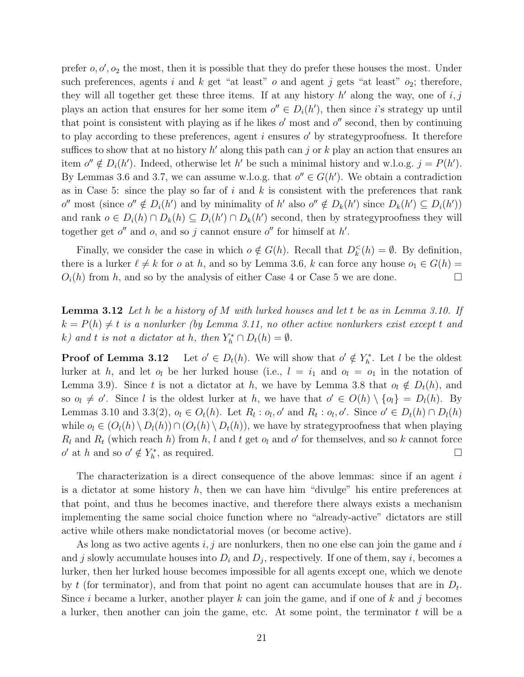prefer  $o, o', o_2$  the most, then it is possible that they do prefer these houses the most. Under such preferences, agents i and k get "at least" o and agent j gets "at least"  $o_2$ ; therefore, they will all together get these three items. If at any history  $h'$  along the way, one of  $i, j$ plays an action that ensures for her some item  $o'' \in D_i(h')$ , then since *i*'s strategy up until that point is consistent with playing as if he likes  $o'$  most and  $o''$  second, then by continuing to play according to these preferences, agent  $i$  ensures  $o'$  by strategyproofness. It therefore suffices to show that at no history  $h'$  along this path can j or k play an action that ensures an item  $o'' \notin D_i(h')$ . Indeed, otherwise let  $h'$  be such a minimal history and w.l.o.g.  $j = P(h')$ . By Lemmas 3.6 and 3.7, we can assume w.l.o.g. that  $o'' \in G(h')$ . We obtain a contradiction as in Case 5: since the play so far of i and k is consistent with the preferences that rank  $o''$  most (since  $o'' \notin D_i(h')$  and by minimality of  $h'$  also  $o'' \notin D_k(h')$  since  $D_k(h') \subseteq D_i(h')$ ) and rank  $o \in D_i(h) \cap D_k(h) \subseteq D_i(h') \cap D_k(h')$  second, then by strategy proofness they will together get  $o''$  and  $o$ , and so j cannot ensure  $o''$  for himself at  $h'$ .

Finally, we consider the case in which  $o \notin G(h)$ . Recall that  $D_k^<(h) = \emptyset$ . By definition, there is a lurker  $\ell \neq k$  for *o* at h, and so by Lemma 3.6, k can force any house  $o_1 \in G(h)$  =  $O_i(h)$  from h, and so by the analysis of either Case 4 or Case 5 we are done.

**Lemma 3.12** Let h be a history of M with lurked houses and let t be as in Lemma 3.10. If  $k = P(h) \neq t$  is a nonlurker (by Lemma 3.11, no other active nonlurkers exist except t and k) and t is not a dictator at h, then  $Y_h^* \cap D_t(h) = \emptyset$ .

Proof of Lemma 3.12  $0 \in D_t(h)$ . We will show that  $o' \notin Y_h^*$ . Let l be the oldest lurker at h, and let  $o_l$  be her lurked house (i.e.,  $l = i_1$  and  $o_l = o_1$  in the notation of Lemma 3.9). Since t is not a dictator at h, we have by Lemma 3.8 that  $o_l \notin D_t(h)$ , and so  $o_l \neq o'$ . Since l is the oldest lurker at h, we have that  $o' \in O(h) \setminus \{o_l\} = D_l(h)$ . By Lemmas 3.10 and 3.3(2),  $o_l \in O_t(h)$ . Let  $R_l : o_l, o'$  and  $R_t : o_l, o'$ . Since  $o' \in D_t(h) \cap D_l(h)$ while  $o_l \in (O_l(h) \setminus D_l(h)) \cap (O_l(h) \setminus D_t(h))$ , we have by strategy proofness that when playing  $R_l$  and  $R_t$  (which reach h) from h, l and t get  $o_l$  and  $o'$  for themselves, and so k cannot force o' at h and so  $o' \notin Y_h^*$ , as required.

The characterization is a direct consequence of the above lemmas: since if an agent  $i$ is a dictator at some history  $h$ , then we can have him "divulge" his entire preferences at that point, and thus he becomes inactive, and therefore there always exists a mechanism implementing the same social choice function where no "already-active" dictators are still active while others make nondictatorial moves (or become active).

As long as two active agents  $i, j$  are nonlurkers, then no one else can join the game and i and j slowly accumulate houses into  $D_i$  and  $D_j$ , respectively. If one of them, say i, becomes a lurker, then her lurked house becomes impossible for all agents except one, which we denote by t (for terminator), and from that point no agent can accumulate houses that are in  $D_t$ . Since i became a lurker, another player k can join the game, and if one of k and j becomes a lurker, then another can join the game, etc. At some point, the terminator  $t$  will be a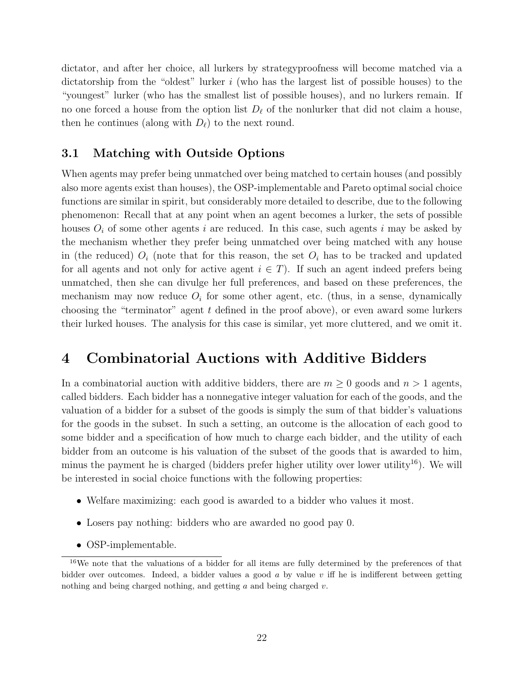dictator, and after her choice, all lurkers by strategyproofness will become matched via a dictatorship from the "oldest" lurker i (who has the largest list of possible houses) to the "youngest" lurker (who has the smallest list of possible houses), and no lurkers remain. If no one forced a house from the option list  $D_\ell$  of the nonlurker that did not claim a house, then he continues (along with  $D_{\ell}$ ) to the next round.

#### 3.1 Matching with Outside Options

When agents may prefer being unmatched over being matched to certain houses (and possibly also more agents exist than houses), the OSP-implementable and Pareto optimal social choice functions are similar in spirit, but considerably more detailed to describe, due to the following phenomenon: Recall that at any point when an agent becomes a lurker, the sets of possible houses  $O_i$  of some other agents i are reduced. In this case, such agents i may be asked by the mechanism whether they prefer being unmatched over being matched with any house in (the reduced)  $O_i$  (note that for this reason, the set  $O_i$  has to be tracked and updated for all agents and not only for active agent  $i \in T$ ). If such an agent indeed prefers being unmatched, then she can divulge her full preferences, and based on these preferences, the mechanism may now reduce  $O_i$  for some other agent, etc. (thus, in a sense, dynamically choosing the "terminator" agent  $t$  defined in the proof above), or even award some lurkers their lurked houses. The analysis for this case is similar, yet more cluttered, and we omit it.

## 4 Combinatorial Auctions with Additive Bidders

In a combinatorial auction with additive bidders, there are  $m \geq 0$  goods and  $n > 1$  agents, called bidders. Each bidder has a nonnegative integer valuation for each of the goods, and the valuation of a bidder for a subset of the goods is simply the sum of that bidder's valuations for the goods in the subset. In such a setting, an outcome is the allocation of each good to some bidder and a specification of how much to charge each bidder, and the utility of each bidder from an outcome is his valuation of the subset of the goods that is awarded to him, minus the payment he is charged (bidders prefer higher utility over lower utility<sup>16</sup>). We will be interested in social choice functions with the following properties:

- Welfare maximizing: each good is awarded to a bidder who values it most.
- Losers pay nothing: bidders who are awarded no good pay 0.
- OSP-implementable.

<sup>&</sup>lt;sup>16</sup>We note that the valuations of a bidder for all items are fully determined by the preferences of that bidder over outcomes. Indeed, a bidder values a good  $a$  by value  $v$  iff he is indifferent between getting nothing and being charged nothing, and getting a and being charged v.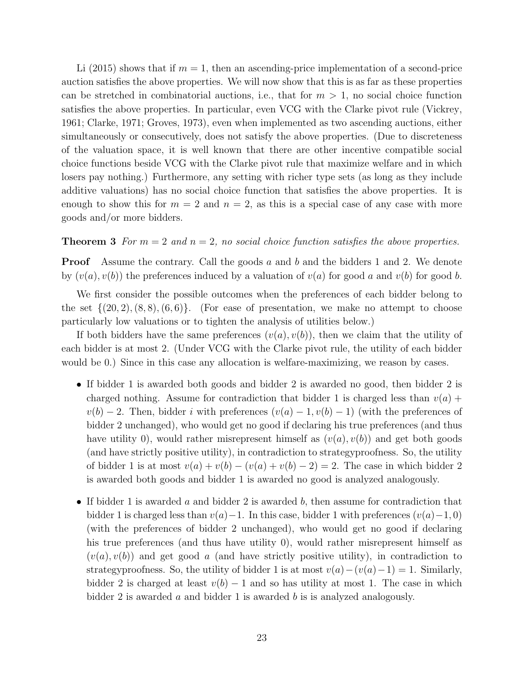Li (2015) shows that if  $m = 1$ , then an ascending-price implementation of a second-price auction satisfies the above properties. We will now show that this is as far as these properties can be stretched in combinatorial auctions, i.e., that for  $m > 1$ , no social choice function satisfies the above properties. In particular, even VCG with the Clarke pivot rule (Vickrey, 1961; Clarke, 1971; Groves, 1973), even when implemented as two ascending auctions, either simultaneously or consecutively, does not satisfy the above properties. (Due to discreteness of the valuation space, it is well known that there are other incentive compatible social choice functions beside VCG with the Clarke pivot rule that maximize welfare and in which losers pay nothing.) Furthermore, any setting with richer type sets (as long as they include additive valuations) has no social choice function that satisfies the above properties. It is enough to show this for  $m = 2$  and  $n = 2$ , as this is a special case of any case with more goods and/or more bidders.

#### **Theorem 3** For  $m = 2$  and  $n = 2$ , no social choice function satisfies the above properties.

**Proof** Assume the contrary. Call the goods a and b and the bidders 1 and 2. We denote by  $(v(a), v(b))$  the preferences induced by a valuation of  $v(a)$  for good a and  $v(b)$  for good b.

We first consider the possible outcomes when the preferences of each bidder belong to the set  $\{(20, 2), (8, 8), (6, 6)\}.$  (For ease of presentation, we make no attempt to choose particularly low valuations or to tighten the analysis of utilities below.)

If both bidders have the same preferences  $(v(a), v(b))$ , then we claim that the utility of each bidder is at most 2. (Under VCG with the Clarke pivot rule, the utility of each bidder would be 0.) Since in this case any allocation is welfare-maximizing, we reason by cases.

- If bidder 1 is awarded both goods and bidder 2 is awarded no good, then bidder 2 is charged nothing. Assume for contradiction that bidder 1 is charged less than  $v(a)$  +  $v(b) - 2$ . Then, bidder i with preferences  $(v(a) - 1, v(b) - 1)$  (with the preferences of bidder 2 unchanged), who would get no good if declaring his true preferences (and thus have utility 0), would rather misrepresent himself as  $(v(a), v(b))$  and get both goods (and have strictly positive utility), in contradiction to strategyproofness. So, the utility of bidder 1 is at most  $v(a) + v(b) - (v(a) + v(b) - 2) = 2$ . The case in which bidder 2 is awarded both goods and bidder 1 is awarded no good is analyzed analogously.
- If bidder 1 is awarded a and bidder 2 is awarded b, then assume for contradiction that bidder 1 is charged less than  $v(a)-1$ . In this case, bidder 1 with preferences  $(v(a)-1, 0)$ (with the preferences of bidder 2 unchanged), who would get no good if declaring his true preferences (and thus have utility 0), would rather misrepresent himself as  $(v(a), v(b))$  and get good a (and have strictly positive utility), in contradiction to strategyproofness. So, the utility of bidder 1 is at most  $v(a)-(v(a)-1)=1$ . Similarly, bidder 2 is charged at least  $v(b) - 1$  and so has utility at most 1. The case in which bidder 2 is awarded  $\alpha$  and bidder 1 is awarded  $\beta$  is is analyzed analogously.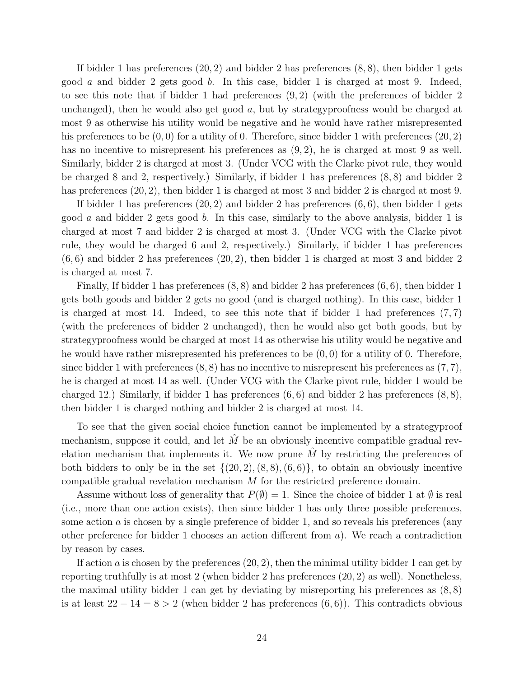If bidder 1 has preferences (20, 2) and bidder 2 has preferences (8, 8), then bidder 1 gets good a and bidder 2 gets good b. In this case, bidder 1 is charged at most 9. Indeed, to see this note that if bidder 1 had preferences  $(9, 2)$  (with the preferences of bidder 2 unchanged), then he would also get good  $a$ , but by strategyproofness would be charged at most 9 as otherwise his utility would be negative and he would have rather misrepresented his preferences to be  $(0, 0)$  for a utility of 0. Therefore, since bidder 1 with preferences  $(20, 2)$ has no incentive to misrepresent his preferences as  $(9, 2)$ , he is charged at most 9 as well. Similarly, bidder 2 is charged at most 3. (Under VCG with the Clarke pivot rule, they would be charged 8 and 2, respectively.) Similarly, if bidder 1 has preferences (8, 8) and bidder 2 has preferences  $(20, 2)$ , then bidder 1 is charged at most 3 and bidder 2 is charged at most 9.

If bidder 1 has preferences  $(20, 2)$  and bidder 2 has preferences  $(6, 6)$ , then bidder 1 gets good a and bidder 2 gets good b. In this case, similarly to the above analysis, bidder 1 is charged at most 7 and bidder 2 is charged at most 3. (Under VCG with the Clarke pivot rule, they would be charged 6 and 2, respectively.) Similarly, if bidder 1 has preferences  $(6, 6)$  and bidder 2 has preferences  $(20, 2)$ , then bidder 1 is charged at most 3 and bidder 2 is charged at most 7.

Finally, If bidder 1 has preferences (8, 8) and bidder 2 has preferences (6, 6), then bidder 1 gets both goods and bidder 2 gets no good (and is charged nothing). In this case, bidder 1 is charged at most 14. Indeed, to see this note that if bidder 1 had preferences  $(7, 7)$ (with the preferences of bidder 2 unchanged), then he would also get both goods, but by strategyproofness would be charged at most 14 as otherwise his utility would be negative and he would have rather misrepresented his preferences to be  $(0,0)$  for a utility of 0. Therefore, since bidder 1 with preferences  $(8, 8)$  has no incentive to misrepresent his preferences as  $(7, 7)$ , he is charged at most 14 as well. (Under VCG with the Clarke pivot rule, bidder 1 would be charged 12.) Similarly, if bidder 1 has preferences  $(6, 6)$  and bidder 2 has preferences  $(8, 8)$ , then bidder 1 is charged nothing and bidder 2 is charged at most 14.

To see that the given social choice function cannot be implemented by a strategyproof mechanism, suppose it could, and let  $\tilde{M}$  be an obviously incentive compatible gradual revelation mechanism that implements it. We now prune  $M$  by restricting the preferences of both bidders to only be in the set  $\{(20, 2), (8, 8), (6, 6)\}\)$ , to obtain an obviously incentive compatible gradual revelation mechanism M for the restricted preference domain.

Assume without loss of generality that  $P(\emptyset) = 1$ . Since the choice of bidder 1 at  $\emptyset$  is real (i.e., more than one action exists), then since bidder 1 has only three possible preferences, some action  $\alpha$  is chosen by a single preference of bidder 1, and so reveals his preferences (any other preference for bidder 1 chooses an action different from  $a$ ). We reach a contradiction by reason by cases.

If action a is chosen by the preferences  $(20, 2)$ , then the minimal utility bidder 1 can get by reporting truthfully is at most 2 (when bidder 2 has preferences (20, 2) as well). Nonetheless, the maximal utility bidder 1 can get by deviating by misreporting his preferences as  $(8, 8)$ is at least  $22 - 14 = 8 > 2$  (when bidder 2 has preferences  $(6, 6)$ ). This contradicts obvious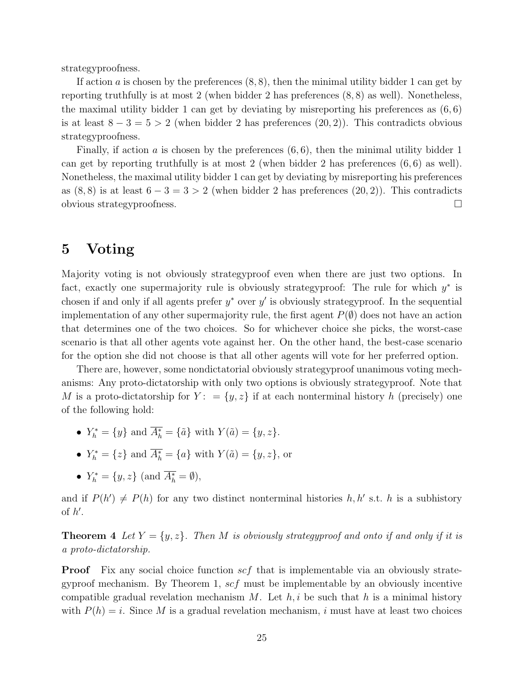strategyproofness.

If action a is chosen by the preferences  $(8, 8)$ , then the minimal utility bidder 1 can get by reporting truthfully is at most 2 (when bidder 2 has preferences (8, 8) as well). Nonetheless, the maximal utility bidder 1 can get by deviating by misreporting his preferences as  $(6, 6)$ is at least  $8 - 3 = 5 > 2$  (when bidder 2 has preferences  $(20, 2)$ ). This contradicts obvious strategyproofness.

Finally, if action  $a$  is chosen by the preferences  $(6, 6)$ , then the minimal utility bidder 1 can get by reporting truthfully is at most 2 (when bidder 2 has preferences  $(6, 6)$  as well). Nonetheless, the maximal utility bidder 1 can get by deviating by misreporting his preferences as  $(8, 8)$  is at least  $6 - 3 = 3 > 2$  (when bidder 2 has preferences  $(20, 2)$ ). This contradicts obvious strategyproofness.

## 5 Voting

Majority voting is not obviously strategyproof even when there are just two options. In fact, exactly one supermajority rule is obviously strategyproof: The rule for which  $y^*$  is chosen if and only if all agents prefer  $y^*$  over  $y'$  is obviously strategyproof. In the sequential implementation of any other supermajority rule, the first agent  $P(\emptyset)$  does not have an action that determines one of the two choices. So for whichever choice she picks, the worst-case scenario is that all other agents vote against her. On the other hand, the best-case scenario for the option she did not choose is that all other agents will vote for her preferred option.

There are, however, some nondictatorial obviously strategyproof unanimous voting mechanisms: Any proto-dictatorship with only two options is obviously strategyproof. Note that M is a proto-dictatorship for  $Y: = \{y, z\}$  if at each nonterminal history h (precisely) one of the following hold:

- $Y_h^* = \{y\}$  and  $A_h^* = \{\tilde{a}\}\$  with  $Y(\tilde{a}) = \{y, z\}.$
- $Y_h^* = \{z\}$  and  $A_h^* = \{a\}$  with  $Y(\tilde{a}) = \{y, z\}$ , or
- $Y_h^* = \{y, z\} \text{ (and } A_h^* = \emptyset),$

and if  $P(h') \neq P(h)$  for any two distinct nonterminal histories h, h' s.t. h is a subhistory of  $h'$ .

**Theorem 4** Let  $Y = \{y, z\}$ . Then M is obviously strategyproof and onto if and only if it is a proto-dictatorship.

**Proof** Fix any social choice function  $scf$  that is implementable via an obviously strategyproof mechanism. By Theorem 1,  $\mathcal{E}f$  must be implementable by an obviously incentive compatible gradual revelation mechanism M. Let  $h, i$  be such that h is a minimal history with  $P(h) = i$ . Since M is a gradual revelation mechanism, i must have at least two choices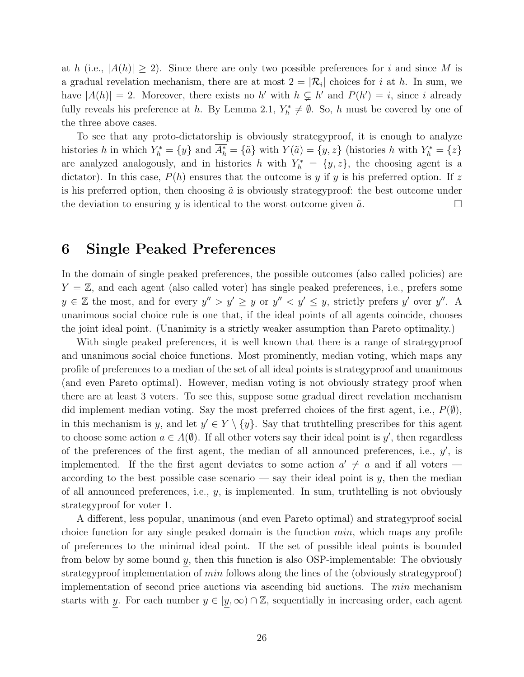at h (i.e.,  $|A(h)| \geq 2$ ). Since there are only two possible preferences for i and since M is a gradual revelation mechanism, there are at most  $2 = |\mathcal{R}_i|$  choices for i at h. In sum, we have  $|A(h)| = 2$ . Moreover, there exists no h' with  $h \subsetneq h'$  and  $P(h') = i$ , since i already fully reveals his preference at h. By Lemma 2.1,  $Y_h^* \neq \emptyset$ . So, h must be covered by one of the three above cases.

To see that any proto-dictatorship is obviously strategyproof, it is enough to analyze histories h in which  $Y_h^* = \{y\}$  and  $A_h^* = \{\tilde{a}\}\$  with  $Y(\tilde{a}) = \{y, z\}$  (histories h with  $Y_h^* = \{z\}$ are analyzed analogously, and in histories h with  $Y_h^* = \{y, z\}$ , the choosing agent is a dictator). In this case,  $P(h)$  ensures that the outcome is y if y is his preferred option. If z is his preferred option, then choosing  $\tilde{a}$  is obviously strategyproof: the best outcome under the deviation to ensuring y is identical to the worst outcome given  $\tilde{a}$ .

### 6 Single Peaked Preferences

In the domain of single peaked preferences, the possible outcomes (also called policies) are  $Y = \mathbb{Z}$ , and each agent (also called voter) has single peaked preferences, i.e., prefers some  $y \in \mathbb{Z}$  the most, and for every  $y'' > y' \ge y$  or  $y'' < y' \le y$ , strictly prefers  $y'$  over  $y''$ . A unanimous social choice rule is one that, if the ideal points of all agents coincide, chooses the joint ideal point. (Unanimity is a strictly weaker assumption than Pareto optimality.)

With single peaked preferences, it is well known that there is a range of strategyproof and unanimous social choice functions. Most prominently, median voting, which maps any profile of preferences to a median of the set of all ideal points is strategyproof and unanimous (and even Pareto optimal). However, median voting is not obviously strategy proof when there are at least 3 voters. To see this, suppose some gradual direct revelation mechanism did implement median voting. Say the most preferred choices of the first agent, i.e.,  $P(\emptyset)$ , in this mechanism is y, and let  $y' \in Y \setminus \{y\}$ . Say that truthtelling prescribes for this agent to choose some action  $a \in A(\emptyset)$ . If all other voters say their ideal point is y', then regardless of the preferences of the first agent, the median of all announced preferences, i.e.,  $y'$ , is implemented. If the the first agent deviates to some action  $a' \neq a$  and if all voters according to the best possible case scenario — say their ideal point is  $y$ , then the median of all announced preferences, i.e.,  $y$ , is implemented. In sum, truthtelling is not obviously strategyproof for voter 1.

A different, less popular, unanimous (and even Pareto optimal) and strategyproof social choice function for any single peaked domain is the function  $min$ , which maps any profile of preferences to the minimal ideal point. If the set of possible ideal points is bounded from below by some bound  $y$ , then this function is also OSP-implementable: The obviously strategyproof implementation of *min* follows along the lines of the (obviously strategyproof) implementation of second price auctions via ascending bid auctions. The min mechanism starts with y. For each number  $y \in [y, \infty) \cap \mathbb{Z}$ , sequentially in increasing order, each agent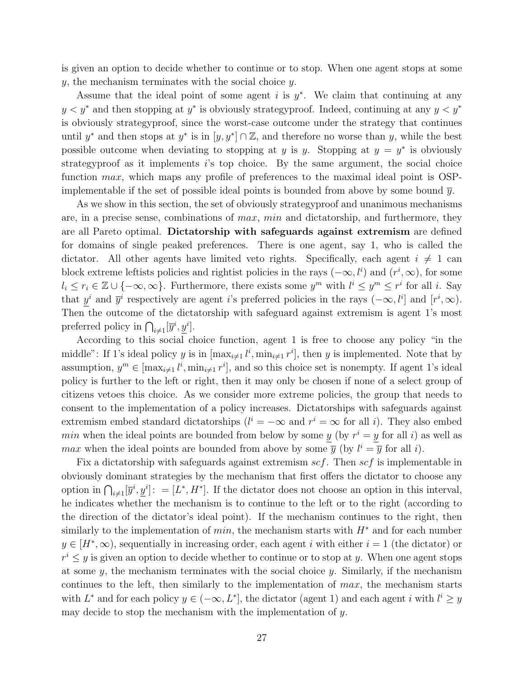is given an option to decide whether to continue or to stop. When one agent stops at some y, the mechanism terminates with the social choice y.

Assume that the ideal point of some agent  $i$  is  $y^*$ . We claim that continuing at any  $y < y^*$  and then stopping at  $y^*$  is obviously strategyproof. Indeed, continuing at any  $y < y^*$ is obviously strategyproof, since the worst-case outcome under the strategy that continues until y<sup>\*</sup> and then stops at y<sup>\*</sup> is in  $[y, y^*] \cap \mathbb{Z}$ , and therefore no worse than y, while the best possible outcome when deviating to stopping at y is y. Stopping at  $y = y^*$  is obviously strategyproof as it implements  $i$ 's top choice. By the same argument, the social choice function max, which maps any profile of preferences to the maximal ideal point is OSPimplementable if the set of possible ideal points is bounded from above by some bound  $\bar{y}$ .

As we show in this section, the set of obviously strategyproof and unanimous mechanisms are, in a precise sense, combinations of  $max$ ,  $min$  and dictatorship, and furthermore, they are all Pareto optimal. Dictatorship with safeguards against extremism are defined for domains of single peaked preferences. There is one agent, say 1, who is called the dictator. All other agents have limited veto rights. Specifically, each agent  $i \neq 1$  can block extreme leftists policies and rightist policies in the rays  $(-\infty, l^i)$  and  $(r^i, \infty)$ , for some  $l_i \leq r_i \in \mathbb{Z} \cup \{-\infty, \infty\}$ . Furthermore, there exists some  $y^m$  with  $l^i \leq y^m \leq r^i$  for all i. Say that  $\underline{y}^i$  and  $\overline{y}^i$  respectively are agent i's preferred policies in the rays  $(-\infty, l^i]$  and  $[r^i, \infty)$ . Then the outcome of the dictatorship with safeguard against extremism is agent 1's most preferred policy in  $\bigcap_{i\neq 1} [\overline{y}^i, \underline{y}^i].$ 

According to this social choice function, agent 1 is free to choose any policy "in the middle": If 1's ideal policy y is in  $[\max_{i\neq 1} l^i, \min_{i\neq 1} r^i]$ , then y is implemented. Note that by assumption,  $y^m \in [\max_{i \neq 1} l^i, \min_{i \neq 1} r^i]$ , and so this choice set is nonempty. If agent 1's ideal policy is further to the left or right, then it may only be chosen if none of a select group of citizens vetoes this choice. As we consider more extreme policies, the group that needs to consent to the implementation of a policy increases. Dictatorships with safeguards against extremism embed standard dictatorships  $(l^{i} = -\infty$  and  $r^{i} = \infty$  for all *i*). They also embed min when the ideal points are bounded from below by some  $y$  (by  $r^i = y$  for all i) as well as *max* when the ideal points are bounded from above by some  $\overline{y}$  (by  $l^i = \overline{y}$  for all i).

Fix a dictatorship with safeguards against extremism  $scf$ . Then  $scf$  is implementable in obviously dominant strategies by the mechanism that first offers the dictator to choose any option in  $\bigcap_{i\neq 1} [\overline{y}^i, \underline{y}^i]$ : = [L<sup>\*</sup>, H<sup>\*</sup>]. If the dictator does not choose an option in this interval, he indicates whether the mechanism is to continue to the left or to the right (according to the direction of the dictator's ideal point). If the mechanism continues to the right, then similarly to the implementation of *min*, the mechanism starts with  $H^*$  and for each number  $y \in [H^*,\infty)$ , sequentially in increasing order, each agent i with either  $i = 1$  (the dictator) or  $r^i \leq y$  is given an option to decide whether to continue or to stop at y. When one agent stops at some  $y$ , the mechanism terminates with the social choice  $y$ . Similarly, if the mechanism continues to the left, then similarly to the implementation of  $max$ , the mechanism starts with  $L^*$  and for each policy  $y \in (-\infty, L^*]$ , the dictator (agent 1) and each agent i with  $l^i \geq y$ may decide to stop the mechanism with the implementation of y.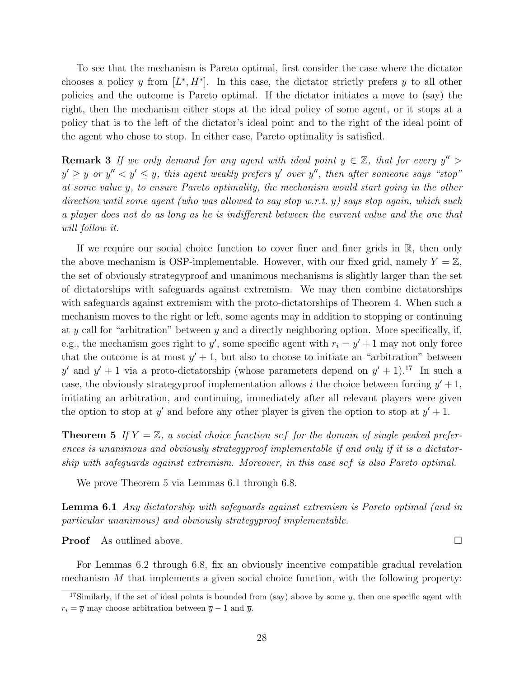To see that the mechanism is Pareto optimal, first consider the case where the dictator chooses a policy y from  $[L^*, H^*]$ . In this case, the dictator strictly prefers y to all other policies and the outcome is Pareto optimal. If the dictator initiates a move to (say) the right, then the mechanism either stops at the ideal policy of some agent, or it stops at a policy that is to the left of the dictator's ideal point and to the right of the ideal point of the agent who chose to stop. In either case, Pareto optimality is satisfied.

**Remark 3** If we only demand for any agent with ideal point  $y \in \mathbb{Z}$ , that for every  $y'' >$  $y' \geq y$  or  $y'' < y' \leq y$ , this agent weakly prefers  $y'$  over  $y''$ , then after someone says "stop" at some value y, to ensure Pareto optimality, the mechanism would start going in the other direction until some agent (who was allowed to say stop w.r.t. y) says stop again, which such a player does not do as long as he is indifferent between the current value and the one that will follow it.

If we require our social choice function to cover finer and finer grids in R, then only the above mechanism is OSP-implementable. However, with our fixed grid, namely  $Y = \mathbb{Z}$ , the set of obviously strategyproof and unanimous mechanisms is slightly larger than the set of dictatorships with safeguards against extremism. We may then combine dictatorships with safeguards against extremism with the proto-dictatorships of Theorem 4. When such a mechanism moves to the right or left, some agents may in addition to stopping or continuing at y call for "arbitration" between y and a directly neighboring option. More specifically, if, e.g., the mechanism goes right to  $y'$ , some specific agent with  $r_i = y' + 1$  may not only force that the outcome is at most  $y' + 1$ , but also to choose to initiate an "arbitration" between y' and  $y' + 1$  via a proto-dictatorship (whose parameters depend on  $y' + 1$ ).<sup>17</sup> In such a case, the obviously strategy proof implementation allows i the choice between forcing  $y' + 1$ , initiating an arbitration, and continuing, immediately after all relevant players were given the option to stop at y' and before any other player is given the option to stop at  $y' + 1$ .

**Theorem 5** If  $Y = \mathbb{Z}$ , a social choice function scf for the domain of single peaked preferences is unanimous and obviously strategyproof implementable if and only if it is a dictatorship with safeguards against extremism. Moreover, in this case scf is also Pareto optimal.

We prove Theorem 5 via Lemmas 6.1 through 6.8.

Lemma 6.1 Any dictatorship with safeguards against extremism is Pareto optimal (and in particular unanimous) and obviously strategyproof implementable.

**Proof** As outlined above.

For Lemmas 6.2 through 6.8, fix an obviously incentive compatible gradual revelation mechanism M that implements a given social choice function, with the following property:

<sup>&</sup>lt;sup>17</sup>Similarly, if the set of ideal points is bounded from (say) above by some  $\overline{y}$ , then one specific agent with  $r_i = \overline{y}$  may choose arbitration between  $\overline{y} - 1$  and  $\overline{y}$ .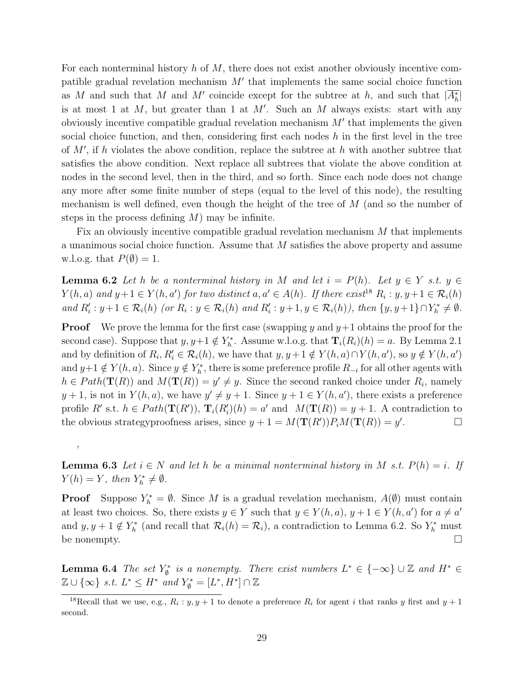For each nonterminal history  $h$  of  $M$ , there does not exist another obviously incentive compatible gradual revelation mechanism  $M'$  that implements the same social choice function as M and such that M and M' coincide except for the subtree at h, and such that  $|A_h^*|$ is at most 1 at  $M$ , but greater than 1 at  $M'$ . Such an  $M$  always exists: start with any obviously incentive compatible gradual revelation mechanism  $M'$  that implements the given social choice function, and then, considering first each nodes  $h$  in the first level in the tree of  $M'$ , if h violates the above condition, replace the subtree at h with another subtree that satisfies the above condition. Next replace all subtrees that violate the above condition at nodes in the second level, then in the third, and so forth. Since each node does not change any more after some finite number of steps (equal to the level of this node), the resulting mechanism is well defined, even though the height of the tree of M (and so the number of steps in the process defining  $M$ ) may be infinite.

Fix an obviously incentive compatible gradual revelation mechanism M that implements a unanimous social choice function. Assume that M satisfies the above property and assume w.l.o.g. that  $P(\emptyset) = 1$ .

**Lemma 6.2** Let h be a nonterminal history in M and let  $i = P(h)$ . Let  $y \in Y$  s.t.  $y \in$  $Y(h, a)$  and  $y+1 \in Y(h, a')$  for two distinct  $a, a' \in A(h)$ . If there exist<sup>18</sup>  $R_i : y, y+1 \in R_i(h)$ and  $R'_i: y+1 \in \mathcal{R}_i(h)$  (or  $R_i: y \in \mathcal{R}_i(h)$  and  $R'_i: y+1, y \in \mathcal{R}_i(h)$ ), then  $\{y, y+1\} \cap Y^*_h \neq \emptyset$ .

**Proof** We prove the lemma for the first case (swapping y and  $y+1$  obtains the proof for the second case). Suppose that  $y, y+1 \notin Y_h^*$ . Assume w.l.o.g. that  $\mathbf{T}_i(R_i)(h) = a$ . By Lemma 2.1 and by definition of  $R_i, R'_i \in \mathcal{R}_i(h)$ , we have that  $y, y+1 \notin Y(h, a) \cap Y(h, a')$ , so  $y \notin Y(h, a')$ and  $y+1 \notin Y(h, a)$ . Since  $y \notin Y_h^*$ , there is some preference profile  $R_{-i}$  for all other agents with  $h \in Path(\mathbf{T}(R))$  and  $M(\mathbf{T}(R)) = y' \neq y$ . Since the second ranked choice under  $R_i$ , namely  $y+1$ , is not in  $Y(h, a)$ , we have  $y' \neq y+1$ . Since  $y+1 \in Y(h, a')$ , there exists a preference profile R' s.t.  $h \in Path(\mathbf{T}(R'))$ ,  $\mathbf{T}_i(R'_i)(h) = a'$  and  $M(\mathbf{T}(R)) = y + 1$ . A contradiction to the obvious strategy proofness arises, since  $y + 1 = M(\mathbf{T}(R'))P_iM(\mathbf{T}(R)) = y'$  $\Box$ 

**Lemma 6.3** Let  $i \in N$  and let h be a minimal nonterminal history in M s.t.  $P(h) = i$ . If  $Y(h) = Y$ , then  $Y_h^* \neq \emptyset$ .

,

**Proof** Suppose  $Y_h^* = \emptyset$ . Since M is a gradual revelation mechanism,  $A(\emptyset)$  must contain at least two choices. So, there exists  $y \in Y$  such that  $y \in Y(h, a), y + 1 \in Y(h, a')$  for  $a \neq a'$ and  $y, y + 1 \notin Y_h^*$  (and recall that  $\mathcal{R}_i(h) = \mathcal{R}_i$ ), a contradiction to Lemma 6.2. So  $Y_h^*$  must be nonempty.  $\Box$ 

**Lemma 6.4** The set  $Y^*_{\emptyset}$  is a nonempty. There exist numbers  $L^* \in \{-\infty\} \cup \mathbb{Z}$  and  $H^* \in$  $\mathbb{Z} \cup \{\infty\}$  s.t.  $L^* \leq H^*$  and  $Y^*_{\emptyset} = [L^*, H^*] \cap \mathbb{Z}$ 

<sup>&</sup>lt;sup>18</sup>Recall that we use, e.g.,  $R_i: y, y+1$  to denote a preference  $R_i$  for agent i that ranks y first and  $y+1$ second.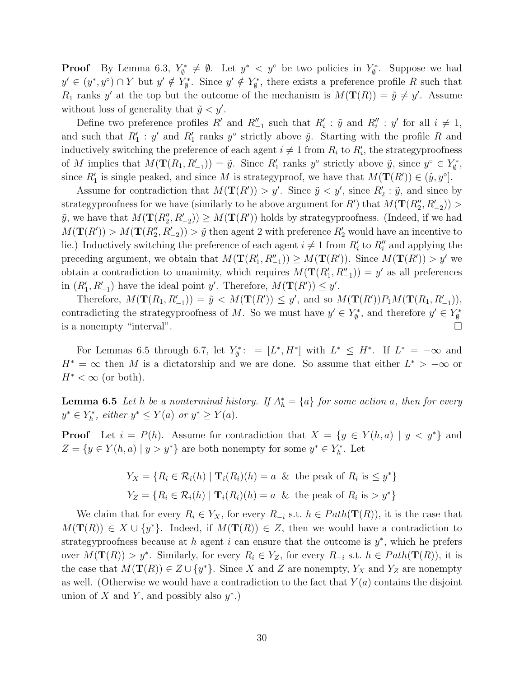**Proof** By Lemma 6.3,  $Y_{\emptyset}^* \neq \emptyset$ . Let  $y^* < y^{\circ}$  be two policies in  $Y_{\emptyset}^*$ . Suppose we had  $y' \in (y^*, y^{\circ}) \cap Y$  but  $y' \notin Y_{\emptyset}^*$ . Since  $y' \notin Y_{\emptyset}^*$ , there exists a preference profile R such that  $R_1$  ranks y' at the top but the outcome of the mechanism is  $M(\mathbf{T}(R)) = \tilde{y} \neq y'$ . Assume without loss of generality that  $\tilde{y} < y'$ .

Define two preference profiles R' and  $R_{-1}''$  such that  $R_i': \tilde{y}$  and  $R_i''': y'$  for all  $i \neq 1$ , and such that  $R'_1$ : y' and  $R'_1$  ranks y° strictly above  $\tilde{y}$ . Starting with the profile R and inductively switching the preference of each agent  $i \neq 1$  from  $R_i$  to  $R'_i$ , the strategy proofness of M implies that  $M(\mathbf{T}(R_1, R_{-1}')) = \tilde{y}$ . Since  $R'_1$  ranks  $y^{\circ}$  strictly above  $\tilde{y}$ , since  $y^{\circ} \in Y^*_{\emptyset}$ , since  $R'_1$  is single peaked, and since M is strategyproof, we have that  $M(\mathbf{T}(R')) \in (\tilde{y}, y^{\circ}]$ .

Assume for contradiction that  $M(\mathbf{T}(R')) > y'$ . Since  $\tilde{y} < y'$ , since  $R'_2 : \tilde{y}$ , and since by strategyproofness for we have (similarly to he above argument for  $R'$ ) that  $M(\mathbf{T}(R_2'', R_{-2}'))$  $\tilde{y}$ , we have that  $M(\mathbf{T}(R''_2, R'_{-2})) \geq M(\mathbf{T}(R'))$  holds by strategyproofness. (Indeed, if we had  $M(\mathbf{T}(R')) > M(\mathbf{T}(R''_2, R'_{-2})) > \tilde{y}$  then agent 2 with preference  $R'_2$  would have an incentive to lie.) Inductively switching the preference of each agent  $i \neq 1$  from  $R'_i$  to  $R''_i$  and applying the preceding argument, we obtain that  $M(\mathbf{T}(R'_1, R''_{-1})) \geq M(\mathbf{T}(R'))$ . Since  $M(\mathbf{T}(R')) > y'$  we obtain a contradiction to unanimity, which requires  $M(\mathbf{T}(R'_1, R''_{-1})) = y'$  as all preferences in  $(R'_1, R'_{-1})$  have the ideal point y'. Therefore,  $M(\mathbf{T}(R')) \leq y'$ .

Therefore,  $M(\mathbf{T}(R_1, R_{-1}')) = \tilde{y} < M(\mathbf{T}(R')) \leq y'$ , and so  $M(\mathbf{T}(R'))P_1M(\mathbf{T}(R_1, R_{-1}'))$ , contradicting the strategyproofness of M. So we must have  $y' \in Y^*_{\emptyset}$ , and therefore  $y' \in Y^*_{\emptyset}$ is a nonempty "interval".

For Lemmas 6.5 through 6.7, let  $Y_{\emptyset}^*$ : =  $[L^*, H^*]$  with  $L^* \leq H^*$ . If  $L^* = -\infty$  and  $H^* = \infty$  then M is a dictatorship and we are done. So assume that either  $L^* > -\infty$  or  $H^* < \infty$  (or both).

**Lemma 6.5** Let h be a nonterminal history. If  $A_h^* = \{a\}$  for some action a, then for every  $y^* \in Y_h^*$ , either  $y^* \leq Y(a)$  or  $y^* \geq Y(a)$ .

**Proof** Let  $i = P(h)$ . Assume for contradiction that  $X = \{y \in Y(h, a) \mid y < y^*\}$  and  $Z = \{ y \in Y(h, a) \mid y > y^* \}$  are both nonempty for some  $y^* \in Y_h^*$ . Let

$$
Y_X = \{ R_i \in \mathcal{R}_i(h) \mid \mathbf{T}_i(R_i)(h) = a \& \text{ the peak of } R_i \text{ is } \leq y^* \}
$$
  

$$
Y_Z = \{ R_i \in \mathcal{R}_i(h) \mid \mathbf{T}_i(R_i)(h) = a \& \text{ the peak of } R_i \text{ is } > y^* \}
$$

We claim that for every  $R_i \in Y_X$ , for every  $R_{-i}$  s.t.  $h \in Path(\mathbf{T}(R))$ , it is the case that  $M(\mathbf{T}(R)) \in X \cup \{y^*\}.$  Indeed, if  $M(\mathbf{T}(R)) \in Z$ , then we would have a contradiction to strategyproofness because at h agent i can ensure that the outcome is  $y^*$ , which he prefers over  $M(\mathbf{T}(R)) > y^*$ . Similarly, for every  $R_i \in Y_Z$ , for every  $R_{-i}$  s.t.  $h \in Path(\mathbf{T}(R))$ , it is the case that  $M(\mathbf{T}(R)) \in Z \cup \{y^*\}$ . Since X and Z are nonempty,  $Y_X$  and  $Y_Z$  are nonempty as well. (Otherwise we would have a contradiction to the fact that  $Y(a)$  contains the disjoint union of X and Y, and possibly also  $y^*$ .)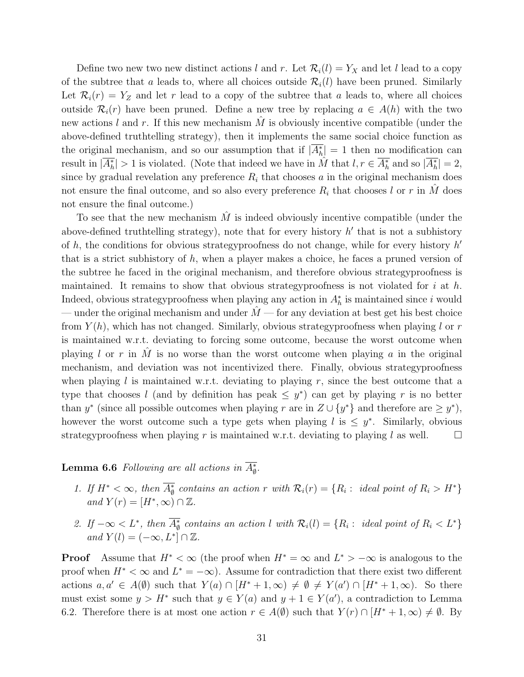Define two new two new distinct actions l and r. Let  $\mathcal{R}_i(l) = Y_X$  and let l lead to a copy of the subtree that a leads to, where all choices outside  $\mathcal{R}_i(l)$  have been pruned. Similarly Let  $\mathcal{R}_i(r) = Y_Z$  and let r lead to a copy of the subtree that a leads to, where all choices outside  $\mathcal{R}_i(r)$  have been pruned. Define a new tree by replacing  $a \in A(h)$  with the two new actions l and r. If this new mechanism M is obviously incentive compatible (under the above-defined truthtelling strategy), then it implements the same social choice function as the original mechanism, and so our assumption that if  $|A_h^*| = 1$  then no modification can result in  $|\overline{A_h^*}| > 1$  is violated. (Note that indeed we have in  $\hat{M}$  that  $l, r \in \overline{A_h^*}$  and so  $|\overline{A_h^*}| = 2$ , since by gradual revelation any preference  $R_i$  that chooses a in the original mechanism does not ensure the final outcome, and so also every preference  $R_i$  that chooses l or r in M does not ensure the final outcome.)

To see that the new mechanism  $\tilde{M}$  is indeed obviously incentive compatible (under the above-defined truthtelling strategy), note that for every history  $h'$  that is not a subhistory of h, the conditions for obvious strategyproofness do not change, while for every history  $h'$ that is a strict subhistory of h, when a player makes a choice, he faces a pruned version of the subtree he faced in the original mechanism, and therefore obvious strategyproofness is maintained. It remains to show that obvious strategy proofness is not violated for  $i$  at  $h$ . Indeed, obvious strategyproofness when playing any action in  $A_h^*$  is maintained since i would — under the original mechanism and under  $\hat{M}$  — for any deviation at best get his best choice from  $Y(h)$ , which has not changed. Similarly, obvious strategy proofness when playing l or r is maintained w.r.t. deviating to forcing some outcome, because the worst outcome when playing l or r in  $\hat{M}$  is no worse than the worst outcome when playing a in the original mechanism, and deviation was not incentivized there. Finally, obvious strategyproofness when playing l is maintained w.r.t. deviating to playing r, since the best outcome that a type that chooses l (and by definition has peak  $\leq y^*$ ) can get by playing r is no better than  $y^*$  (since all possible outcomes when playing r are in  $Z \cup \{y^*\}$  and therefore are  $\geq y^*$ ), however the worst outcome such a type gets when playing  $l$  is  $\leq y^*$ . Similarly, obvious strategyproofness when playing r is maintained w.r.t. deviating to playing l as well.

**Lemma 6.6** Following are all actions in  $A_{\emptyset}^*$ .

- 1. If  $H^* < \infty$ , then  $A^*_{\emptyset}$  contains an action r with  $\mathcal{R}_i(r) = \{R_i : \text{ ideal point of } R_i > H^*\}$ and  $Y(r) = [H^*, \infty) \cap \mathbb{Z}$ .
- 2. If  $-\infty < L^*$ , then  $A_{\emptyset}^*$  contains an action l with  $\mathcal{R}_i(l) = \{R_i : \text{ ideal point of } R_i < L^*\}$ and  $Y(l) = (-\infty, L^*] \cap \mathbb{Z}$ .

**Proof** Assume that  $H^* < \infty$  (the proof when  $H^* = \infty$  and  $L^* > -\infty$  is analogous to the proof when  $H^* < \infty$  and  $L^* = -\infty$ ). Assume for contradiction that there exist two different actions  $a, a' \in A(\emptyset)$  such that  $Y(a) \cap [H^* + 1, \infty) \neq \emptyset \neq Y(a') \cap [H^* + 1, \infty)$ . So there must exist some  $y > H^*$  such that  $y \in Y(a)$  and  $y + 1 \in Y(a')$ , a contradiction to Lemma 6.2. Therefore there is at most one action  $r \in A(\emptyset)$  such that  $Y(r) \cap [H^* + 1, \infty) \neq \emptyset$ . By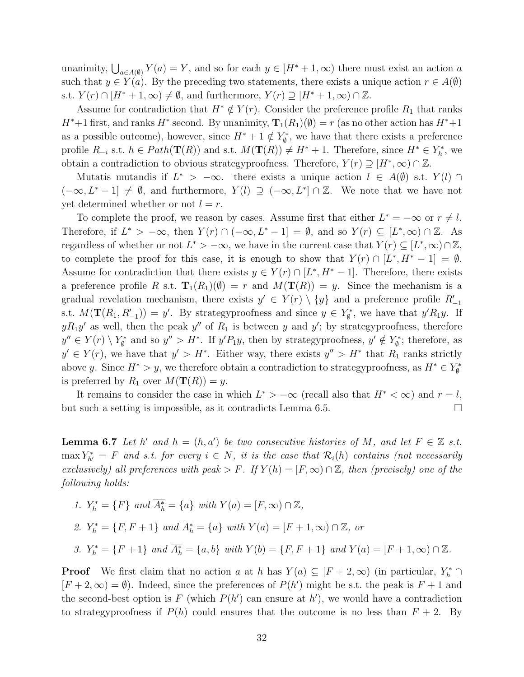unanimity,  $\bigcup_{a \in A(0)} Y(a) = Y$ , and so for each  $y \in [H^* + 1, \infty)$  there must exist an action a such that  $y \in Y(a)$ . By the preceding two statements, there exists a unique action  $r \in A(\emptyset)$ s.t.  $Y(r) \cap [H^* + 1, \infty) \neq \emptyset$ , and furthermore,  $Y(r) \supseteq [H^* + 1, \infty) \cap \mathbb{Z}$ .

Assume for contradiction that  $H^* \notin Y(r)$ . Consider the preference profile  $R_1$  that ranks  $H^*+1$  first, and ranks  $H^*$  second. By unanimity,  $\mathbf{T}_1(R_1)(\emptyset) = r$  (as no other action has  $H^*+1$ as a possible outcome), however, since  $H^* + 1 \notin Y^*_{\emptyset}$ , we have that there exists a preference profile  $R_{-i}$  s.t.  $h \in Path(\mathbf{T}(R))$  and s.t.  $M(\mathbf{T}(R)) \neq H^* + 1$ . Therefore, since  $H^* \in Y_h^*$ , we obtain a contradiction to obvious strategyproofness. Therefore,  $Y(r) \supseteq [H^*, \infty) \cap \mathbb{Z}$ .

Mutatis mutandis if  $L^* > -\infty$ . there exists a unique action  $l \in A(\emptyset)$  s.t.  $Y(l) \cap$  $(-\infty, L^* - 1] \neq \emptyset$ , and furthermore,  $Y(l) \supseteq (-\infty, L^*] \cap \mathbb{Z}$ . We note that we have not yet determined whether or not  $l = r$ .

To complete the proof, we reason by cases. Assume first that either  $L^* = -\infty$  or  $r \neq l$ . Therefore, if  $L^* > -\infty$ , then  $Y(r) \cap (-\infty, L^* - 1] = \emptyset$ , and so  $Y(r) \subseteq [L^*, \infty) \cap \mathbb{Z}$ . As regardless of whether or not  $L^* > -\infty$ , we have in the current case that  $Y(r) \subseteq [L^*, \infty) \cap \mathbb{Z}$ , to complete the proof for this case, it is enough to show that  $Y(r) \cap [L^*, H^* - 1] = \emptyset$ . Assume for contradiction that there exists  $y \in Y(r) \cap [L^*, H^* - 1]$ . Therefore, there exists a preference profile R s.t.  $\mathbf{T}_1(R_1)(\emptyset) = r$  and  $M(\mathbf{T}(R)) = y$ . Since the mechanism is a gradual revelation mechanism, there exists  $y' \in Y(r) \setminus \{y\}$  and a preference profile  $R'_{-1}$ s.t.  $M(\mathbf{T}(R_1, R_{-1}')) = y'$ . By strategyproofness and since  $y \in Y^*_{\emptyset}$ , we have that  $y'R_1y$ . If  $yR_1y'$  as well, then the peak  $y''$  of  $R_1$  is between y and y'; by strategyproofness, therefore  $y'' \in Y(r) \setminus Y^*_{\emptyset}$  and so  $y'' > H^*$ . If  $y'P_1y$ , then by strategyproofness,  $y' \notin Y^*_{\emptyset}$ ; therefore, as  $y' \in Y(r)$ , we have that  $y' > H^*$ . Either way, there exists  $y'' > H^*$  that  $R_1$  ranks strictly above y. Since  $H^* > y$ , we therefore obtain a contradiction to strategy proofness, as  $H^* \in Y^*_{\emptyset}$ is preferred by  $R_1$  over  $M(\mathbf{T}(R)) = y$ .

It remains to consider the case in which  $L^*$  >  $-\infty$  (recall also that  $H^*$  <  $\infty$ ) and  $r = l$ , but such a setting is impossible, as it contradicts Lemma 6.5.

**Lemma 6.7** Let h' and  $h = (h, a')$  be two consecutive histories of M, and let  $F \in \mathbb{Z}$  s.t.  $\max Y_{h'}^* = F$  and s.t. for every  $i \in N$ , it is the case that  $\mathcal{R}_i(h)$  contains (not necessarily exclusively) all preferences with peak > F. If  $Y(h) = [F, \infty) \cap \mathbb{Z}$ , then (precisely) one of the following holds:

\n- 1. 
$$
Y_h^* = \{F\}
$$
 and  $\overline{A_h^*} = \{a\}$  with  $Y(a) = [F, \infty) \cap \mathbb{Z}$ ,
\n- 2.  $Y_h^* = \{F, F + 1\}$  and  $\overline{A_h^*} = \{a\}$  with  $Y(a) = [F + 1, \infty) \cap \mathbb{Z}$ , or
\n- 3.  $Y_h^* = \{F + 1\}$  and  $\overline{A_h^*} = \{a, b\}$  with  $Y(b) = \{F, F + 1\}$  and  $Y(a) = [F + 1, \infty) \cap \mathbb{Z}$ .
\n

**Proof** We first claim that no action a at h has  $Y(a) \subseteq [F + 2, \infty)$  (in particular,  $Y_h^* \cap$  $[F + 2, \infty) = \emptyset$ . Indeed, since the preferences of  $P(h')$  might be s.t. the peak is  $F + 1$  and the second-best option is F (which  $P(h')$  can ensure at  $h'$ ), we would have a contradiction to strategyproofness if  $P(h)$  could ensures that the outcome is no less than  $F + 2$ . By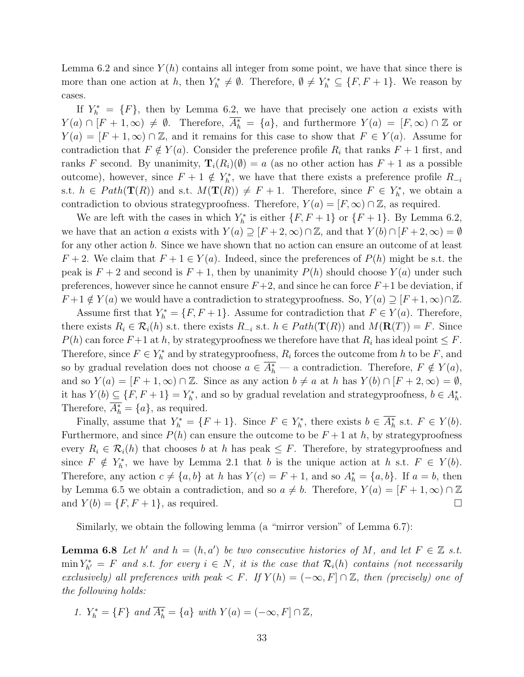Lemma 6.2 and since  $Y(h)$  contains all integer from some point, we have that since there is more than one action at h, then  $Y_h^* \neq \emptyset$ . Therefore,  $\emptyset \neq Y_h^* \subseteq \{F, F+1\}$ . We reason by cases.

If  $Y_h^* = \{F\}$ , then by Lemma 6.2, we have that precisely one action a exists with  $Y(a) \cap [F+1,\infty) \neq \emptyset$ . Therefore,  $A_h^* = \{a\}$ , and furthermore  $Y(a) = [F,\infty) \cap \mathbb{Z}$  or  $Y(a) = [F + 1, \infty) \cap \mathbb{Z}$ , and it remains for this case to show that  $F \in Y(a)$ . Assume for contradiction that  $F \notin Y(a)$ . Consider the preference profile  $R_i$  that ranks  $F + 1$  first, and ranks F second. By unanimity,  $\mathbf{T}_i(R_i)(\emptyset) = a$  (as no other action has  $F + 1$  as a possible outcome), however, since  $F + 1 \notin Y_h^*$ , we have that there exists a preference profile  $R_{-i}$ s.t.  $h \in Path(\mathbf{T}(R))$  and s.t.  $M(\mathbf{T}(R)) \neq F + 1$ . Therefore, since  $F \in Y_h^*$ , we obtain a contradiction to obvious strategyproofness. Therefore,  $Y(a) = [F, \infty) \cap \mathbb{Z}$ , as required.

We are left with the cases in which  $Y_h^*$  is either  $\{F, F + 1\}$  or  $\{F + 1\}$ . By Lemma 6.2, we have that an action a exists with  $Y(a) \supseteq [F + 2, \infty) \cap \mathbb{Z}$ , and that  $Y(b) \cap [F + 2, \infty) = \emptyset$ for any other action b. Since we have shown that no action can ensure an outcome of at least  $F + 2$ . We claim that  $F + 1 \in Y(a)$ . Indeed, since the preferences of  $P(h)$  might be s.t. the peak is  $F + 2$  and second is  $F + 1$ , then by unanimity  $P(h)$  should choose  $Y(a)$  under such preferences, however since he cannot ensure  $F+2$ , and since he can force  $F+1$  be deviation, if  $F+1 \notin Y(a)$  we would have a contradiction to strategyproofness. So,  $Y(a) \supseteq [F+1,\infty) \cap \mathbb{Z}$ .

Assume first that  $Y_h^* = \{F, F+1\}$ . Assume for contradiction that  $F \in Y(a)$ . Therefore, there exists  $R_i \in \mathcal{R}_i(h)$  s.t. there exists  $R_{-i}$  s.t.  $h \in Path(\mathbf{T}(R))$  and  $M(\mathbf{R}(T)) = F$ . Since  $P(h)$  can force  $F+1$  at h, by strategyproofness we therefore have that  $R_i$  has ideal point  $\leq F$ . Therefore, since  $F \in Y_h^*$  and by strategyproofness,  $R_i$  forces the outcome from h to be F, and so by gradual revelation does not choose  $a \in A_h^*$  — a contradiction. Therefore,  $F \notin Y(a)$ , and so  $Y(a) = [F + 1, \infty) \cap \mathbb{Z}$ . Since as any action  $b \neq a$  at h has  $Y(b) \cap [F + 2, \infty) = \emptyset$ , it has  $Y(b) \subseteq \{F, F+1\} = Y_h^*$ , and so by gradual revelation and strategyproofness,  $b \in A_h^*$ . Therefore,  $A_h^* = \{a\}$ , as required.

Finally, assume that  $Y_h^* = \{F + 1\}$ . Since  $F \in Y_h^*$ , there exists  $b \in A_h^*$  s.t.  $F \in Y(b)$ . Furthermore, and since  $P(h)$  can ensure the outcome to be  $F + 1$  at h, by strategy proofness every  $R_i \in \mathcal{R}_i(h)$  that chooses b at h has peak  $\leq F$ . Therefore, by strategyproofness and since  $F \notin Y_h^*$ , we have by Lemma 2.1 that b is the unique action at h s.t.  $F \in Y(b)$ . Therefore, any action  $c \neq \{a, b\}$  at h has  $Y(c) = F + 1$ , and so  $A_h^* = \{a, b\}$ . If  $a = b$ , then by Lemma 6.5 we obtain a contradiction, and so  $a \neq b$ . Therefore,  $Y(a) = [F + 1, \infty) \cap \mathbb{Z}$ and  $Y(b) = \{F, F + 1\}$ , as required.

Similarly, we obtain the following lemma (a "mirror version" of Lemma 6.7):

**Lemma 6.8** Let h' and  $h = (h, a')$  be two consecutive histories of M, and let  $F \in \mathbb{Z}$  s.t.  $\min Y_{h'}^* = F$  and s.t. for every  $i \in N$ , it is the case that  $\mathcal{R}_i(h)$  contains (not necessarily exclusively) all preferences with peak  $\lt F$ . If  $Y(h) = (-\infty, F] \cap \mathbb{Z}$ , then (precisely) one of the following holds:

1.  $Y_h^* = \{F\}$  and  $A_h^* = \{a\}$  with  $Y(a) = (-\infty, F] \cap \mathbb{Z}$ ,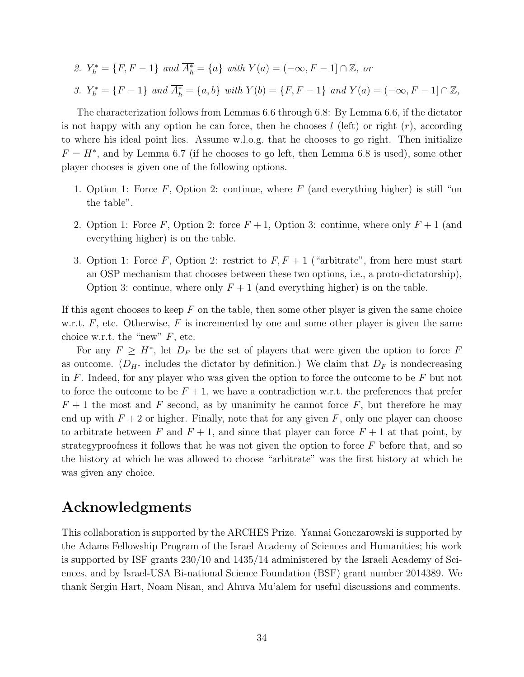2. 
$$
Y_h^* = \{F, F - 1\}
$$
 and  $\overline{A_h^*} = \{a\}$  with  $Y(a) = (-\infty, F - 1] \cap \mathbb{Z}$ , or  
\n3.  $Y_h^* = \{F - 1\}$  and  $\overline{A_h^*} = \{a, b\}$  with  $Y(b) = \{F, F - 1\}$  and  $Y(a) = (-\infty, F - 1] \cap \mathbb{Z}$ ,

The characterization follows from Lemmas 6.6 through 6.8: By Lemma 6.6, if the dictator is not happy with any option he can force, then he chooses  $l$  (left) or right  $(r)$ , according to where his ideal point lies. Assume w.l.o.g. that he chooses to go right. Then initialize  $F = H^*$ , and by Lemma 6.7 (if he chooses to go left, then Lemma 6.8 is used), some other player chooses is given one of the following options.

- 1. Option 1: Force  $F$ , Option 2: continue, where  $F$  (and everything higher) is still "on the table".
- 2. Option 1: Force F, Option 2: force  $F + 1$ , Option 3: continue, where only  $F + 1$  (and everything higher) is on the table.
- 3. Option 1: Force F, Option 2: restrict to  $F, F+1$  ("arbitrate", from here must start an OSP mechanism that chooses between these two options, i.e., a proto-dictatorship), Option 3: continue, where only  $F + 1$  (and everything higher) is on the table.

If this agent chooses to keep  $F$  on the table, then some other player is given the same choice w.r.t.  $F$ , etc. Otherwise,  $F$  is incremented by one and some other player is given the same choice w.r.t. the "new"  $F$ , etc.

For any  $F \geq H^*$ , let  $D_F$  be the set of players that were given the option to force F as outcome. ( $D_{H^*}$  includes the dictator by definition.) We claim that  $D_F$  is nondecreasing in  $F$ . Indeed, for any player who was given the option to force the outcome to be  $F$  but not to force the outcome to be  $F + 1$ , we have a contradiction w.r.t. the preferences that prefer  $F + 1$  the most and F second, as by unanimity he cannot force F, but therefore he may end up with  $F + 2$  or higher. Finally, note that for any given F, only one player can choose to arbitrate between F and  $F + 1$ , and since that player can force  $F + 1$  at that point, by strategyproofness it follows that he was not given the option to force  $F$  before that, and so the history at which he was allowed to choose "arbitrate" was the first history at which he was given any choice.

## Acknowledgments

This collaboration is supported by the ARCHES Prize. Yannai Gonczarowski is supported by the Adams Fellowship Program of the Israel Academy of Sciences and Humanities; his work is supported by ISF grants 230/10 and 1435/14 administered by the Israeli Academy of Sciences, and by Israel-USA Bi-national Science Foundation (BSF) grant number 2014389. We thank Sergiu Hart, Noam Nisan, and Ahuva Mu'alem for useful discussions and comments.